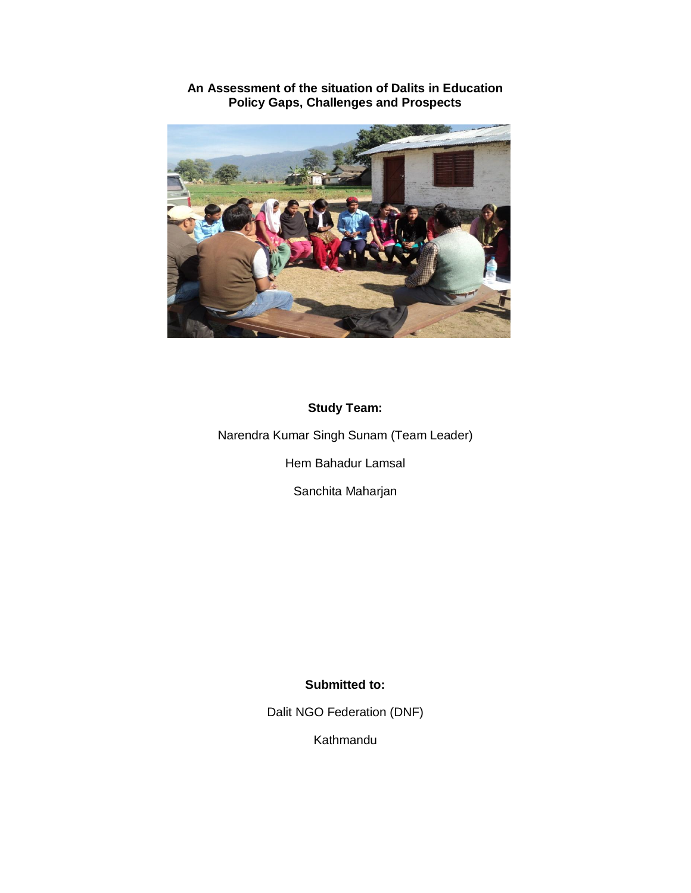

## **An Assessment of the situation of Dalits in Education Policy Gaps, Challenges and Prospects**

## **Study Team:**

Narendra Kumar Singh Sunam (Team Leader)

Hem Bahadur Lamsal

Sanchita Maharjan

## **Submitted to:**

Dalit NGO Federation (DNF)

Kathmandu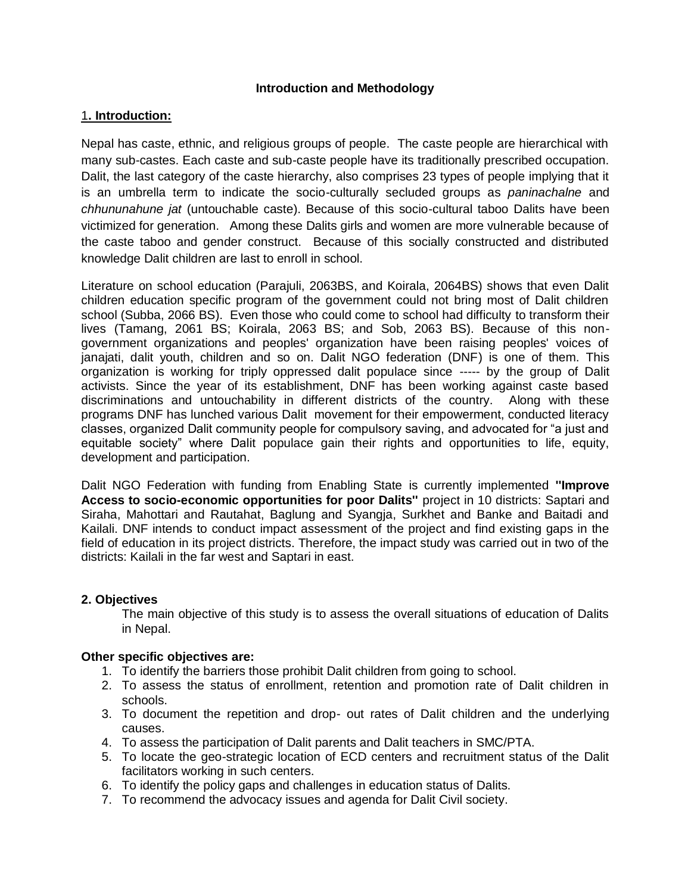### **Introduction and Methodology**

### 1**. Introduction:**

Nepal has caste, ethnic, and religious groups of people. The caste people are hierarchical with many sub-castes. Each caste and sub-caste people have its traditionally prescribed occupation. Dalit, the last category of the caste hierarchy, also comprises 23 types of people implying that it is an umbrella term to indicate the socio-culturally secluded groups as *paninachalne* and *chhununahune jat* (untouchable caste). Because of this socio-cultural taboo Dalits have been victimized for generation. Among these Dalits girls and women are more vulnerable because of the caste taboo and gender construct. Because of this socially constructed and distributed knowledge Dalit children are last to enroll in school.

Literature on school education (Parajuli, 2063BS, and Koirala, 2064BS) shows that even Dalit children education specific program of the government could not bring most of Dalit children school (Subba, 2066 BS). Even those who could come to school had difficulty to transform their lives (Tamang, 2061 BS; Koirala, 2063 BS; and Sob, 2063 BS). Because of this nongovernment organizations and peoples' organization have been raising peoples' voices of janajati, dalit youth, children and so on. Dalit NGO federation (DNF) is one of them. This organization is working for triply oppressed dalit populace since ----- by the group of Dalit activists. Since the year of its establishment, DNF has been working against caste based discriminations and untouchability in different districts of the country. Along with these programs DNF has lunched various Dalit movement for their empowerment, conducted literacy classes, organized Dalit community people for compulsory saving, and advocated for "a just and equitable society" where Dalit populace gain their rights and opportunities to life, equity, development and participation.

Dalit NGO Federation with funding from Enabling State is currently implemented **''Improve Access to socio-economic opportunities for poor Dalits''** project in 10 districts: Saptari and Siraha, Mahottari and Rautahat, Baglung and Syangja, Surkhet and Banke and Baitadi and Kailali. DNF intends to conduct impact assessment of the project and find existing gaps in the field of education in its project districts. Therefore, the impact study was carried out in two of the districts: Kailali in the far west and Saptari in east.

### **2. Objectives**

The main objective of this study is to assess the overall situations of education of Dalits in Nepal.

### **Other specific objectives are:**

- 1. To identify the barriers those prohibit Dalit children from going to school.
- 2. To assess the status of enrollment, retention and promotion rate of Dalit children in schools.
- 3. To document the repetition and drop- out rates of Dalit children and the underlying causes.
- 4. To assess the participation of Dalit parents and Dalit teachers in SMC/PTA.
- 5. To locate the geo-strategic location of ECD centers and recruitment status of the Dalit facilitators working in such centers.
- 6. To identify the policy gaps and challenges in education status of Dalits.
- 7. To recommend the advocacy issues and agenda for Dalit Civil society.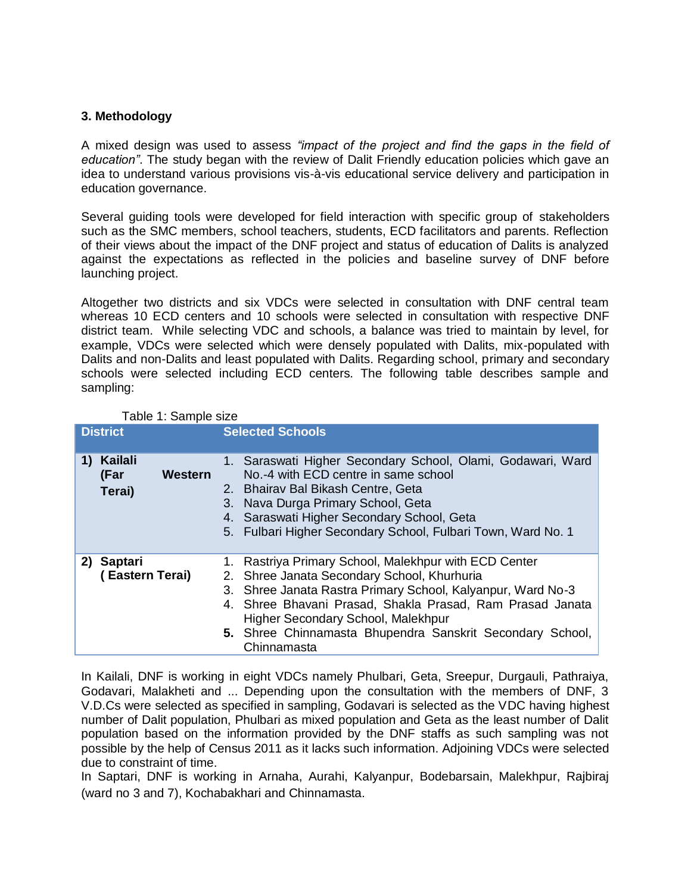### **3. Methodology**

A mixed design was used to assess *"impact of the project and find the gaps in the field of education"*. The study began with the review of Dalit Friendly education policies which gave an idea to understand various provisions vis-à-vis educational service delivery and participation in education governance.

Several guiding tools were developed for field interaction with specific group of stakeholders such as the SMC members, school teachers, students, ECD facilitators and parents. Reflection of their views about the impact of the DNF project and status of education of Dalits is analyzed against the expectations as reflected in the policies and baseline survey of DNF before launching project.

Altogether two districts and six VDCs were selected in consultation with DNF central team whereas 10 ECD centers and 10 schools were selected in consultation with respective DNF district team. While selecting VDC and schools, a balance was tried to maintain by level, for example, VDCs were selected which were densely populated with Dalits, mix-populated with Dalits and non-Dalits and least populated with Dalits. Regarding school, primary and secondary schools were selected including ECD centers. The following table describes sample and sampling:

| <b>District</b> |                                             | <b>Selected Schools</b>                                                                                                                                                                                                                                                                                                                            |
|-----------------|---------------------------------------------|----------------------------------------------------------------------------------------------------------------------------------------------------------------------------------------------------------------------------------------------------------------------------------------------------------------------------------------------------|
| 1)              | <b>Kailali</b><br>Western<br>(Far<br>Terai) | 1. Saraswati Higher Secondary School, Olami, Godawari, Ward<br>No.-4 with ECD centre in same school<br>2. Bhairav Bal Bikash Centre, Geta<br>3. Nava Durga Primary School, Geta<br>4. Saraswati Higher Secondary School, Geta<br>5. Fulbari Higher Secondary School, Fulbari Town, Ward No. 1                                                      |
|                 | 2) Saptari<br>(Eastern Terai)               | 1. Rastriya Primary School, Malekhpur with ECD Center<br>2. Shree Janata Secondary School, Khurhuria<br>3. Shree Janata Rastra Primary School, Kalyanpur, Ward No-3<br>4. Shree Bhavani Prasad, Shakla Prasad, Ram Prasad Janata<br>Higher Secondary School, Malekhpur<br>5. Shree Chinnamasta Bhupendra Sanskrit Secondary School,<br>Chinnamasta |

Table 1: Sample size

In Kailali, DNF is working in eight VDCs namely Phulbari, Geta, Sreepur, Durgauli, Pathraiya, Godavari, Malakheti and ... Depending upon the consultation with the members of DNF, 3 V.D.Cs were selected as specified in sampling, Godavari is selected as the VDC having highest number of Dalit population, Phulbari as mixed population and Geta as the least number of Dalit population based on the information provided by the DNF staffs as such sampling was not possible by the help of Census 2011 as it lacks such information. Adjoining VDCs were selected due to constraint of time.

In Saptari, DNF is working in Arnaha, Aurahi, Kalyanpur, Bodebarsain, Malekhpur, Rajbiraj (ward no 3 and 7), Kochabakhari and Chinnamasta.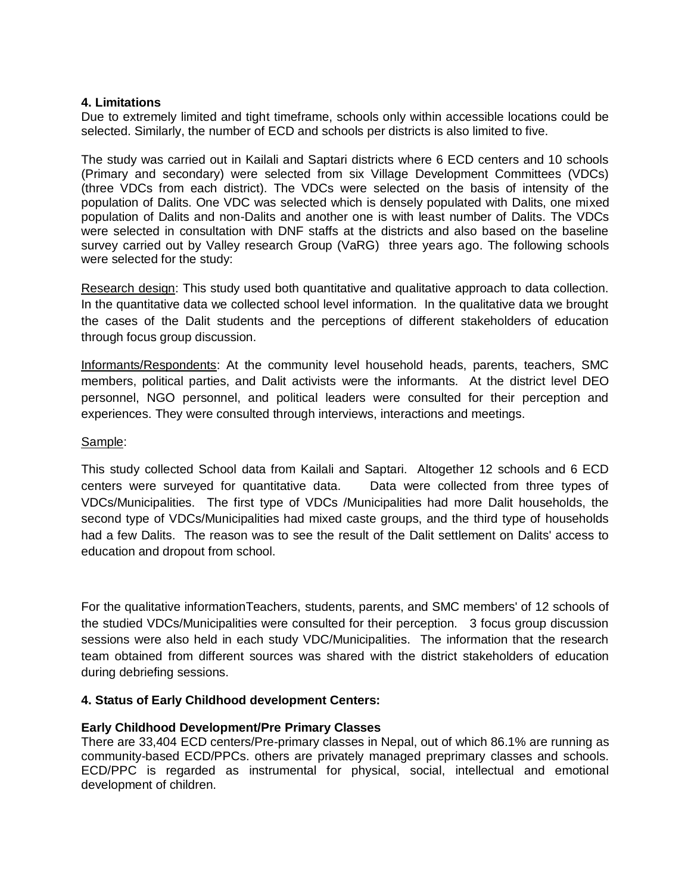### **4. Limitations**

Due to extremely limited and tight timeframe, schools only within accessible locations could be selected. Similarly, the number of ECD and schools per districts is also limited to five.

The study was carried out in Kailali and Saptari districts where 6 ECD centers and 10 schools (Primary and secondary) were selected from six Village Development Committees (VDCs) (three VDCs from each district). The VDCs were selected on the basis of intensity of the population of Dalits. One VDC was selected which is densely populated with Dalits, one mixed population of Dalits and non-Dalits and another one is with least number of Dalits. The VDCs were selected in consultation with DNF staffs at the districts and also based on the baseline survey carried out by Valley research Group (VaRG) three years ago. The following schools were selected for the study:

Research design: This study used both quantitative and qualitative approach to data collection. In the quantitative data we collected school level information. In the qualitative data we brought the cases of the Dalit students and the perceptions of different stakeholders of education through focus group discussion.

Informants/Respondents: At the community level household heads, parents, teachers, SMC members, political parties, and Dalit activists were the informants. At the district level DEO personnel, NGO personnel, and political leaders were consulted for their perception and experiences. They were consulted through interviews, interactions and meetings.

### Sample:

This study collected School data from Kailali and Saptari. Altogether 12 schools and 6 ECD centers were surveyed for quantitative data. Data were collected from three types of VDCs/Municipalities. The first type of VDCs /Municipalities had more Dalit households, the second type of VDCs/Municipalities had mixed caste groups, and the third type of households had a few Dalits. The reason was to see the result of the Dalit settlement on Dalits' access to education and dropout from school.

For the qualitative informationTeachers, students, parents, and SMC members' of 12 schools of the studied VDCs/Municipalities were consulted for their perception. 3 focus group discussion sessions were also held in each study VDC/Municipalities. The information that the research team obtained from different sources was shared with the district stakeholders of education during debriefing sessions.

### **4. Status of Early Childhood development Centers:**

### **Early Childhood Development/Pre Primary Classes**

There are 33,404 ECD centers/Pre-primary classes in Nepal, out of which 86.1% are running as community-based ECD/PPCs. others are privately managed preprimary classes and schools. ECD/PPC is regarded as instrumental for physical, social, intellectual and emotional development of children.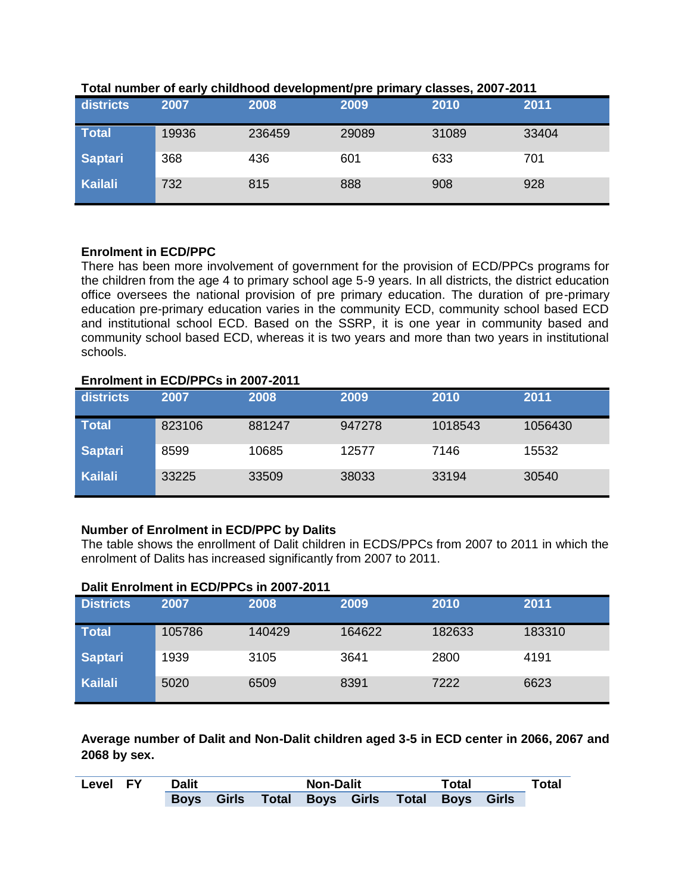| districts      | . .<br>2007 | 2008   | 2009  | 2010  | 2011  |
|----------------|-------------|--------|-------|-------|-------|
| <b>Total</b>   | 19936       | 236459 | 29089 | 31089 | 33404 |
| <b>Saptari</b> | 368         | 436    | 601   | 633   | 701   |
| <b>Kailali</b> | 732         | 815    | 888   | 908   | 928   |

### **Total number of early childhood development/pre primary classes, 2007-2011**

### **Enrolment in ECD/PPC**

There has been more involvement of government for the provision of ECD/PPCs programs for the children from the age 4 to primary school age 5-9 years. In all districts, the district education office oversees the national provision of pre primary education. The duration of pre-primary education pre-primary education varies in the community ECD, community school based ECD and institutional school ECD. Based on the SSRP, it is one year in community based and community school based ECD, whereas it is two years and more than two years in institutional schools.

### **Enrolment in ECD/PPCs in 2007-2011**

| districts      | 2007   | 2008   | 2009   | 2010    | 2011    |
|----------------|--------|--------|--------|---------|---------|
| <b>Total</b>   | 823106 | 881247 | 947278 | 1018543 | 1056430 |
| <b>Saptari</b> | 8599   | 10685  | 12577  | 7146    | 15532   |
| <b>Kailali</b> | 33225  | 33509  | 38033  | 33194   | 30540   |

## **Number of Enrolment in ECD/PPC by Dalits**

The table shows the enrollment of Dalit children in ECDS/PPCs from 2007 to 2011 in which the enrolment of Dalits has increased significantly from 2007 to 2011.

### **Dalit Enrolment in ECD/PPCs in 2007-2011**

| <b>Districts</b> | 2007   | 2008   | 2009   | 2010   | 2011   |
|------------------|--------|--------|--------|--------|--------|
| Total            | 105786 | 140429 | 164622 | 182633 | 183310 |
| Saptari          | 1939   | 3105   | 3641   | 2800   | 4191   |
| Kailali          | 5020   | 6509   | 8391   | 7222   | 6623   |

**Average number of Dalit and Non-Dalit children aged 3-5 in ECD center in 2066, 2067 and 2068 by sex.**

| <b>Level FY</b> | Dalit                                                  |  |  |  | <b>Non-Dalit</b> |  |  | Total |
|-----------------|--------------------------------------------------------|--|--|--|------------------|--|--|-------|
|                 | Girls Total Boys Girls Total Boys Girls<br><b>Boys</b> |  |  |  |                  |  |  |       |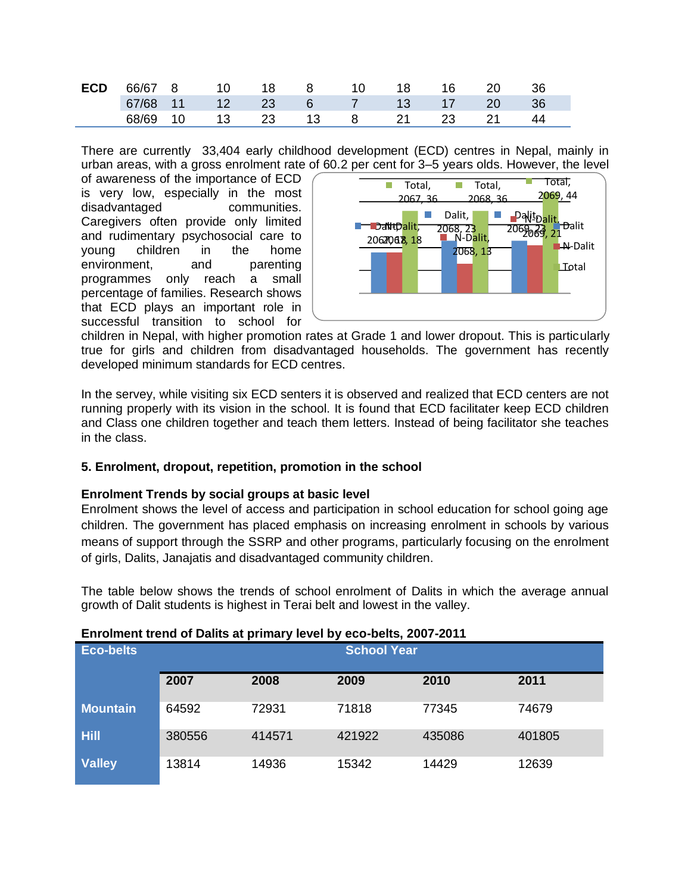|  |  |  |  |  | <b>ECD</b> 66/67 8 10 18 8 10 18 16 20 36 |  |
|--|--|--|--|--|-------------------------------------------|--|
|  |  |  |  |  | 67/68 11 12 23 6 7 13 17 20 36            |  |
|  |  |  |  |  | 68/69 10 13 23 13 8 21 23 21 44           |  |

There are currently 33,404 early childhood development (ECD) centres in Nepal, mainly in urban areas, with a gross enrolment rate of 60.2 per cent for 3–5 years olds. However, the level

of awareness of the importance of ECD is very low, especially in the most disadvantaged communities. Caregivers often provide only limited and rudimentary psychosocial care to young children in the home environment, and parenting programmes only reach a small percentage of families. Research shows that ECD plays an important role in successful transition to school for



children in Nepal, with higher promotion rates at Grade 1 and lower dropout. This is particularly true for girls and children from disadvantaged households. The government has recently developed minimum standards for ECD centres.

In the servey, while visiting six ECD senters it is observed and realized that ECD centers are not running properly with its vision in the school. It is found that ECD facilitater keep ECD children and Class one children together and teach them letters. Instead of being facilitator she teaches in the class.

### **5. Enrolment, dropout, repetition, promotion in the school**

### **Enrolment Trends by social groups at basic level**

Enrolment shows the level of access and participation in school education for school going age children. The government has placed emphasis on increasing enrolment in schools by various means of support through the SSRP and other programs, particularly focusing on the enrolment of girls, Dalits, Janajatis and disadvantaged community children.

The table below shows the trends of school enrolment of Dalits in which the average annual growth of Dalit students is highest in Terai belt and lowest in the valley.

### **Enrolment trend of Dalits at primary level by eco-belts, 2007-2011**

| <b>Eco-belts</b> | <b>School Year</b> |        |        |        |        |  |  |  |
|------------------|--------------------|--------|--------|--------|--------|--|--|--|
|                  | 2007               | 2008   | 2009   | 2010   | 2011   |  |  |  |
| <b>Mountain</b>  | 64592              | 72931  | 71818  | 77345  | 74679  |  |  |  |
| <b>Hill</b>      | 380556             | 414571 | 421922 | 435086 | 401805 |  |  |  |
| <b>Valley</b>    | 13814              | 14936  | 15342  | 14429  | 12639  |  |  |  |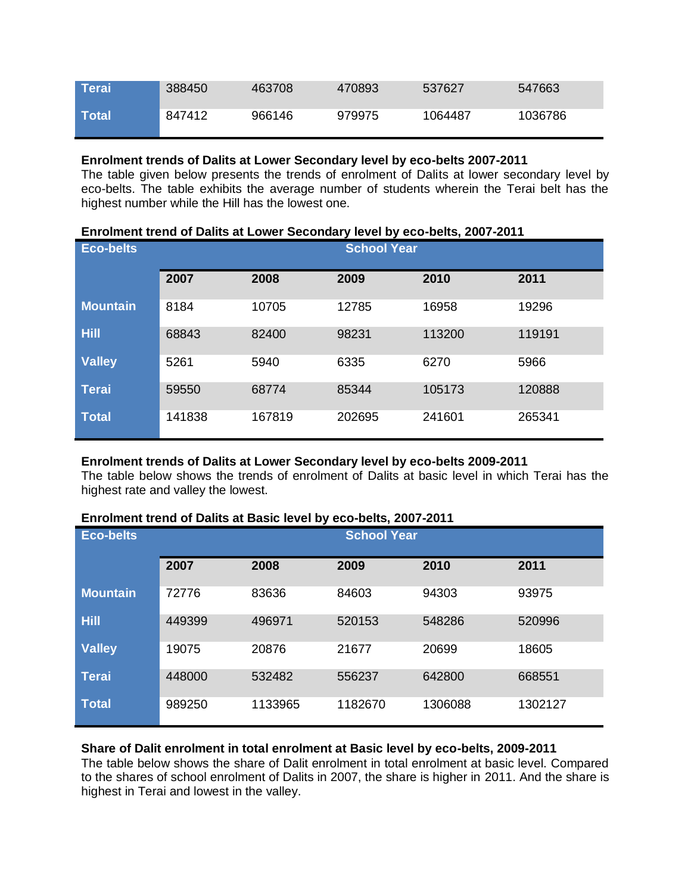| <b>NTerai</b> | 388450 | 463708 | 470893 | 537627  | 547663  |
|---------------|--------|--------|--------|---------|---------|
| <b>Total</b>  | 847412 | 966146 | 979975 | 1064487 | 1036786 |

### **Enrolment trends of Dalits at Lower Secondary level by eco-belts 2007-2011**

The table given below presents the trends of enrolment of Dalits at lower secondary level by eco-belts. The table exhibits the average number of students wherein the Terai belt has the highest number while the Hill has the lowest one.

| Enrolment trend of Dalits at Lower Secondary level by eco-belts, 2007-2011 |  |
|----------------------------------------------------------------------------|--|
|----------------------------------------------------------------------------|--|

| <b>Eco-belts</b> | <b>School Year</b> |        |        |        |        |  |  |
|------------------|--------------------|--------|--------|--------|--------|--|--|
|                  | 2007               | 2008   | 2009   | 2010   | 2011   |  |  |
| <b>Mountain</b>  | 8184               | 10705  | 12785  | 16958  | 19296  |  |  |
| <b>Hill</b>      | 68843              | 82400  | 98231  | 113200 | 119191 |  |  |
| <b>Valley</b>    | 5261               | 5940   | 6335   | 6270   | 5966   |  |  |
| <b>Terai</b>     | 59550              | 68774  | 85344  | 105173 | 120888 |  |  |
| <b>Total</b>     | 141838             | 167819 | 202695 | 241601 | 265341 |  |  |

### **Enrolment trends of Dalits at Lower Secondary level by eco-belts 2009-2011**

The table below shows the trends of enrolment of Dalits at basic level in which Terai has the highest rate and valley the lowest.

| Enrolment trend of Dalits at Basic level by eco-belts, 2007-2011 |  |
|------------------------------------------------------------------|--|
|------------------------------------------------------------------|--|

| <b>Eco-belts</b> | <b>School Year</b> |         |         |         |         |  |  |
|------------------|--------------------|---------|---------|---------|---------|--|--|
|                  | 2007               | 2008    | 2009    | 2010    | 2011    |  |  |
| <b>Mountain</b>  | 72776              | 83636   | 84603   | 94303   | 93975   |  |  |
| <b>Hill</b>      | 449399             | 496971  | 520153  | 548286  | 520996  |  |  |
| <b>Valley</b>    | 19075              | 20876   | 21677   | 20699   | 18605   |  |  |
| <b>Terai</b>     | 448000             | 532482  | 556237  | 642800  | 668551  |  |  |
| <b>Total</b>     | 989250             | 1133965 | 1182670 | 1306088 | 1302127 |  |  |

### **Share of Dalit enrolment in total enrolment at Basic level by eco-belts, 2009-2011**

The table below shows the share of Dalit enrolment in total enrolment at basic level. Compared to the shares of school enrolment of Dalits in 2007, the share is higher in 2011. And the share is highest in Terai and lowest in the valley.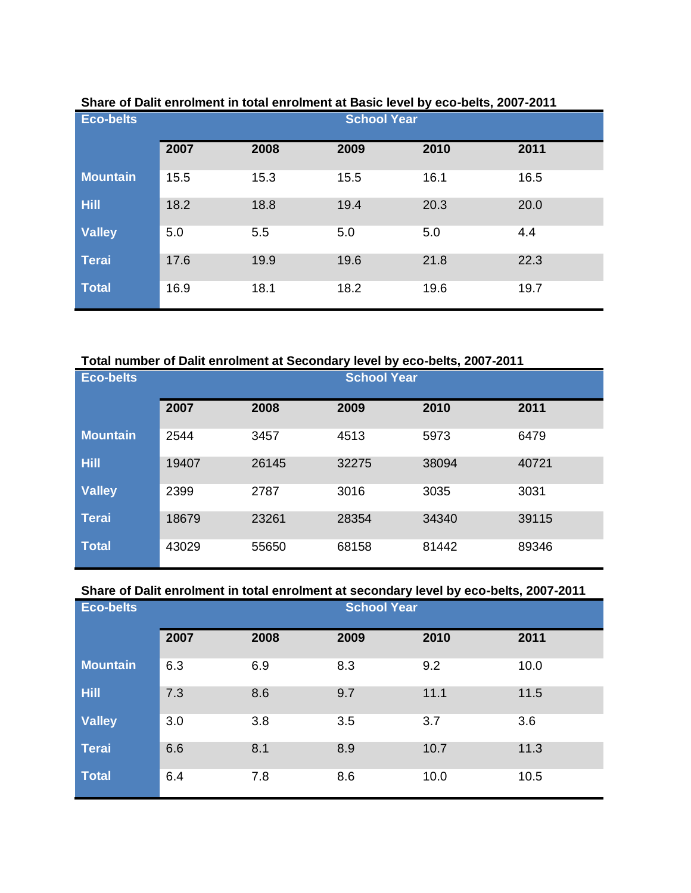| <b>Eco-belts</b> | <u>VE BAIR VIN UNIVERSITY ON VIN UNIVERSITY OF BAUR TU FUT AT US AURUI AUXIT AUT I</u> | <b>School Year</b> |      |      |      |  |
|------------------|----------------------------------------------------------------------------------------|--------------------|------|------|------|--|
|                  | 2007                                                                                   | 2008               | 2009 | 2010 | 2011 |  |
| <b>Mountain</b>  | 15.5                                                                                   | 15.3               | 15.5 | 16.1 | 16.5 |  |
| <b>Hill</b>      | 18.2                                                                                   | 18.8               | 19.4 | 20.3 | 20.0 |  |
| <b>Valley</b>    | 5.0                                                                                    | 5.5                | 5.0  | 5.0  | 4.4  |  |
| <b>Terai</b>     | 17.6                                                                                   | 19.9               | 19.6 | 21.8 | 22.3 |  |
| <b>Total</b>     | 16.9                                                                                   | 18.1               | 18.2 | 19.6 | 19.7 |  |

### **Share of Dalit enrolment in total enrolment at Basic level by eco-belts, 2007-2011**

### **Total number of Dalit enrolment at Secondary level by eco-belts, 2007-2011**

| <b>Eco-belts</b> |              |       |              | <b>School Year</b> |       |  |  |
|------------------|--------------|-------|--------------|--------------------|-------|--|--|
|                  | 2007<br>2008 |       | 2009<br>2010 |                    | 2011  |  |  |
| <b>Mountain</b>  | 2544         | 3457  | 4513         | 5973               | 6479  |  |  |
| <b>Hill</b>      | 19407        | 26145 | 32275        | 38094              | 40721 |  |  |
| <b>Valley</b>    | 2399         | 2787  | 3016         | 3035               | 3031  |  |  |
| <b>Terai</b>     | 18679        | 23261 | 28354        | 34340              | 39115 |  |  |
| <b>Total</b>     | 43029        | 55650 | 68158        | 81442              | 89346 |  |  |

## **Share of Dalit enrolment in total enrolment at secondary level by eco-belts, 2007-2011**

| <b>Eco-belts</b> |      |      | <b>School Year</b> |      |      |  |
|------------------|------|------|--------------------|------|------|--|
|                  | 2007 | 2008 | 2009               | 2010 | 2011 |  |
| <b>Mountain</b>  | 6.3  | 6.9  | 8.3                | 9.2  | 10.0 |  |
| Hill             | 7.3  | 8.6  | 9.7                | 11.1 | 11.5 |  |
| <b>Valley</b>    | 3.0  | 3.8  | 3.5                | 3.7  | 3.6  |  |
| <b>Terai</b>     | 6.6  | 8.1  | 8.9                | 10.7 | 11.3 |  |
| <b>Total</b>     | 6.4  | 7.8  | 8.6                | 10.0 | 10.5 |  |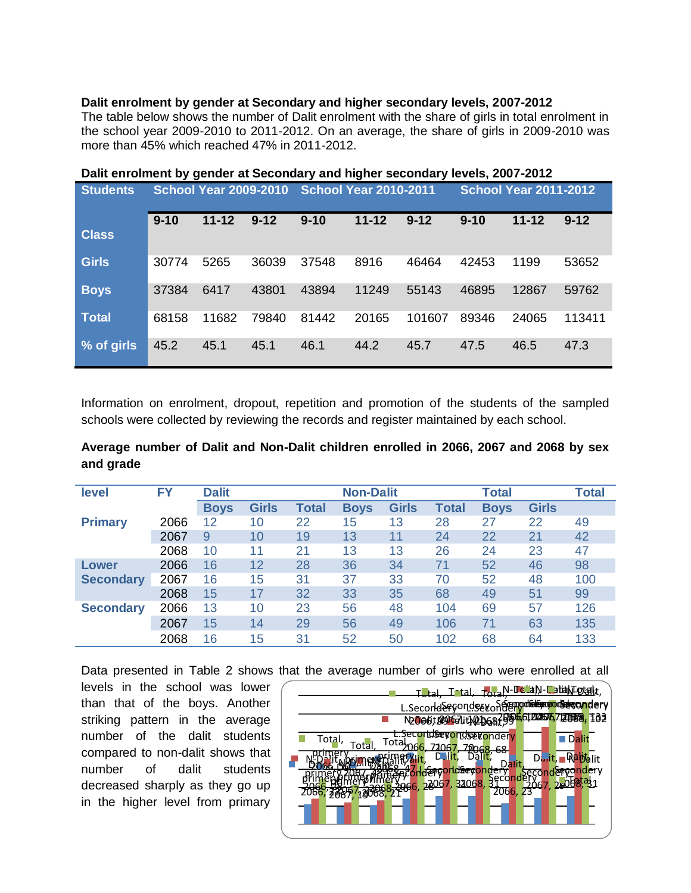### **Dalit enrolment by gender at Secondary and higher secondary levels, 2007-2012**

The table below shows the number of Dalit enrolment with the share of girls in total enrolment in the school year 2009-2010 to 2011-2012. On an average, the share of girls in 2009-2010 was more than 45% which reached 47% in 2011-2012.

|                 |          |                              |          | . ,                                                          |           |          |          |           |          |
|-----------------|----------|------------------------------|----------|--------------------------------------------------------------|-----------|----------|----------|-----------|----------|
| <b>Students</b> |          | <b>School Year 2009-2010</b> |          | <b>School Year 2010-2011</b><br><b>School Year 2011-2012</b> |           |          |          |           |          |
|                 | $9 - 10$ | $11 - 12$                    | $9 - 12$ | $9 - 10$                                                     | $11 - 12$ | $9 - 12$ | $9 - 10$ | $11 - 12$ | $9 - 12$ |
| <b>Class</b>    |          |                              |          |                                                              |           |          |          |           |          |
| <b>Girls</b>    | 30774    | 5265                         | 36039    | 37548                                                        | 8916      | 46464    | 42453    | 1199      | 53652    |
| <b>Boys</b>     | 37384    | 6417                         | 43801    | 43894                                                        | 11249     | 55143    | 46895    | 12867     | 59762    |
| <b>Total</b>    | 68158    | 11682                        | 79840    | 81442                                                        | 20165     | 101607   | 89346    | 24065     | 113411   |
| % of girls      | 45.2     | 45.1                         | 45.1     | 46.1                                                         | 44.2      | 45.7     | 47.5     | 46.5      | 47.3     |

**Dalit enrolment by gender at Secondary and higher secondary levels, 2007-2012** 

Information on enrolment, dropout, repetition and promotion of the students of the sampled schools were collected by reviewing the records and register maintained by each school.

## **Average number of Dalit and Non-Dalit children enrolled in 2066, 2067 and 2068 by sex and grade**

| level            | FY   | <b>Dalit</b> |              |              | <b>Non-Dalit</b> |              |              | <b>Total</b> |              | <b>Total</b> |
|------------------|------|--------------|--------------|--------------|------------------|--------------|--------------|--------------|--------------|--------------|
|                  |      | <b>Boys</b>  | <b>Girls</b> | <b>Total</b> | <b>Boys</b>      | <b>Girls</b> | <b>Total</b> | <b>Boys</b>  | <b>Girls</b> |              |
| <b>Primary</b>   | 2066 | 12           | 10           | 22           | 15               | 13           | 28           | 27           | 22           | 49           |
|                  | 2067 | 9            | 10           | 19           | 13               | 11           | 24           | 22           | 21           | 42           |
|                  | 2068 | 10           | 11           | 21           | 13               | 13           | 26           | 24           | 23           | 47           |
| Lower            | 2066 | 16           | 12           | 28           | 36               | 34           | 71           | 52           | 46           | 98           |
| <b>Secondary</b> | 2067 | 16           | 15           | 31           | 37               | 33           | 70           | 52           | 48           | 100          |
|                  | 2068 | 15           | 17           | 32           | 33               | 35           | 68           | 49           | 51           | 99           |
| <b>Secondary</b> | 2066 | 13           | 10           | 23           | 56               | 48           | 104          | 69           | 57           | 126          |
|                  | 2067 | 15           | 14           | 29           | 56               | 49           | 106          | 71           | 63           | 135          |
|                  | 2068 | 16           | 15           | 31           | 52               | 50           | 102          | 68           | 64           | 133          |

Data presented in Table 2 shows that the average number of girls who were enrolled at all

levels in the school was lower than that of the boys. Another striking pattern in the average number of the dalit students compared to non-dalit shows that number of dalit students decreased sharply as they go up in the higher level from primary

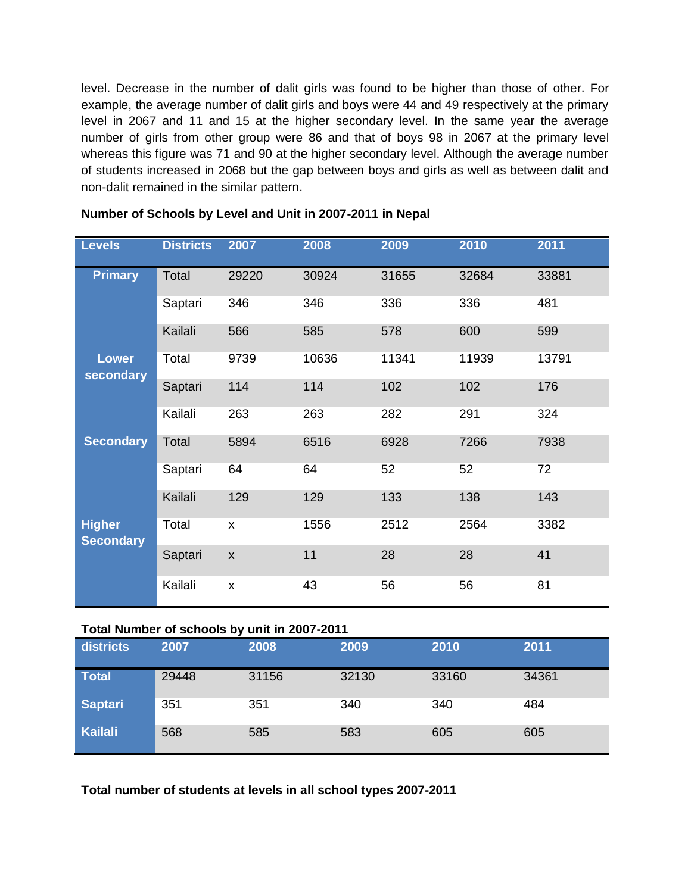level. Decrease in the number of dalit girls was found to be higher than those of other. For example, the average number of dalit girls and boys were 44 and 49 respectively at the primary level in 2067 and 11 and 15 at the higher secondary level. In the same year the average number of girls from other group were 86 and that of boys 98 in 2067 at the primary level whereas this figure was 71 and 90 at the higher secondary level. Although the average number of students increased in 2068 but the gap between boys and girls as well as between dalit and non-dalit remained in the similar pattern.

| <b>Levels</b>                     | <b>Districts</b> | 2007               | 2008  | 2009  | 2010  | 2011  |
|-----------------------------------|------------------|--------------------|-------|-------|-------|-------|
| <b>Primary</b>                    | Total            | 29220              | 30924 | 31655 | 32684 | 33881 |
|                                   | Saptari          | 346                | 346   | 336   | 336   | 481   |
|                                   | Kailali          | 566                | 585   | 578   | 600   | 599   |
| <b>Lower</b><br>secondary         | Total            | 9739               | 10636 | 11341 | 11939 | 13791 |
|                                   | Saptari          | 114                | 114   | 102   | 102   | 176   |
|                                   | Kailali          | 263                | 263   | 282   | 291   | 324   |
| <b>Secondary</b>                  | Total            | 5894               | 6516  | 6928  | 7266  | 7938  |
|                                   | Saptari          | 64                 | 64    | 52    | 52    | 72    |
|                                   | Kailali          | 129                | 129   | 133   | 138   | 143   |
| <b>Higher</b><br><b>Secondary</b> | Total            | $\pmb{\times}$     | 1556  | 2512  | 2564  | 3382  |
|                                   | Saptari          | $\pmb{\mathsf{X}}$ | 11    | 28    | 28    | 41    |
|                                   | Kailali          | $\pmb{\mathsf{X}}$ | 43    | 56    | 56    | 81    |

## **Number of Schools by Level and Unit in 2007-2011 in Nepal**

### **Total Number of schools by unit in 2007-2011**

| districts      | 2007  | 2008  | 2009  | 2010  | 2011  |
|----------------|-------|-------|-------|-------|-------|
| <b>Total</b>   | 29448 | 31156 | 32130 | 33160 | 34361 |
| <b>Saptari</b> | 351   | 351   | 340   | 340   | 484   |
| <b>Kailali</b> | 568   | 585   | 583   | 605   | 605   |

**Total number of students at levels in all school types 2007-2011**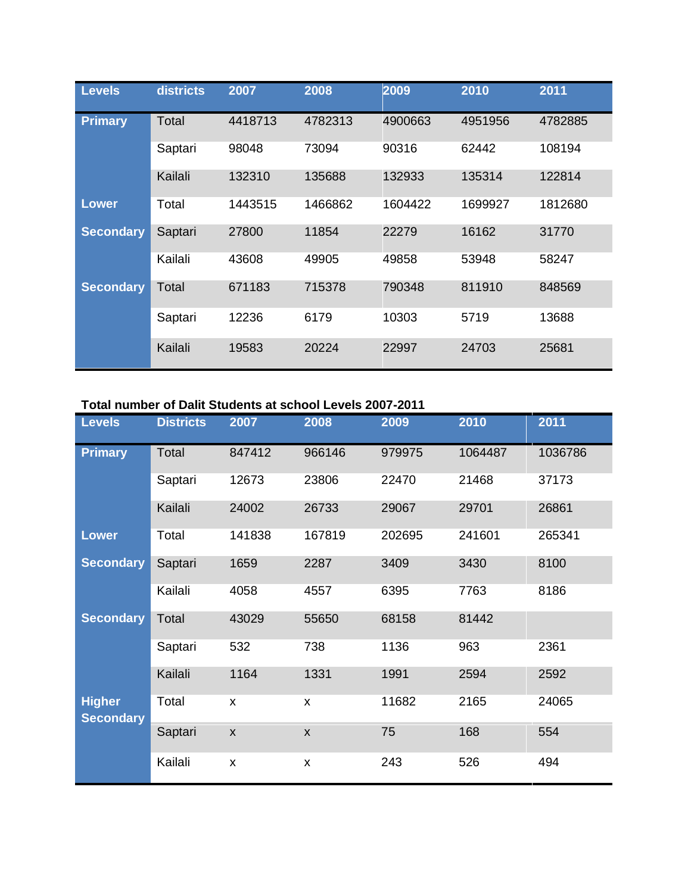| <b>Levels</b>    | districts | 2007    | 2008    | 2009    | 2010    | 2011    |
|------------------|-----------|---------|---------|---------|---------|---------|
| <b>Primary</b>   | Total     | 4418713 | 4782313 | 4900663 | 4951956 | 4782885 |
|                  | Saptari   | 98048   | 73094   | 90316   | 62442   | 108194  |
|                  | Kailali   | 132310  | 135688  | 132933  | 135314  | 122814  |
| <b>Lower</b>     | Total     | 1443515 | 1466862 | 1604422 | 1699927 | 1812680 |
| <b>Secondary</b> | Saptari   | 27800   | 11854   | 22279   | 16162   | 31770   |
|                  | Kailali   | 43608   | 49905   | 49858   | 53948   | 58247   |
| <b>Secondary</b> | Total     | 671183  | 715378  | 790348  | 811910  | 848569  |
|                  | Saptari   | 12236   | 6179    | 10303   | 5719    | 13688   |
|                  | Kailali   | 19583   | 20224   | 22997   | 24703   | 25681   |

# **Total number of Dalit Students at school Levels 2007-2011**

| <b>Levels</b>                     | <b>Districts</b> | 2007               | 2008           | 2009   | 2010    | 2011    |
|-----------------------------------|------------------|--------------------|----------------|--------|---------|---------|
| <b>Primary</b>                    | Total            | 847412             | 966146         | 979975 | 1064487 | 1036786 |
|                                   | Saptari          | 12673              | 23806          | 22470  | 21468   | 37173   |
|                                   | Kailali          | 24002              | 26733          | 29067  | 29701   | 26861   |
| <b>Lower</b>                      | Total            | 141838             | 167819         | 202695 | 241601  | 265341  |
| <b>Secondary</b>                  | Saptari          | 1659               | 2287           | 3409   | 3430    | 8100    |
|                                   | Kailali          | 4058               | 4557           | 6395   | 7763    | 8186    |
| <b>Secondary</b>                  | Total            | 43029              | 55650          | 68158  | 81442   |         |
|                                   | Saptari          | 532                | 738            | 1136   | 963     | 2361    |
|                                   | Kailali          | 1164               | 1331           | 1991   | 2594    | 2592    |
| <b>Higher</b><br><b>Secondary</b> | Total            | X                  | X              | 11682  | 2165    | 24065   |
|                                   | Saptari          | $\pmb{\mathsf{X}}$ | $\pmb{\times}$ | 75     | 168     | 554     |
|                                   | Kailali          | X                  | X              | 243    | 526     | 494     |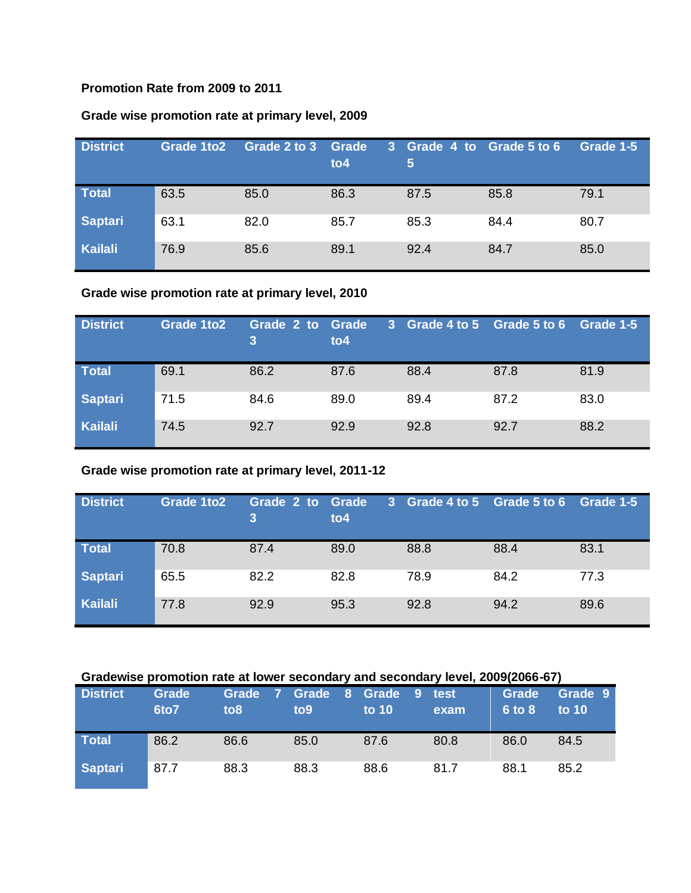### **Promotion Rate from 2009 to 2011**

## **Grade wise promotion rate at primary level, 2009**

| <b>District</b> | Grade 1to2 | Grade 2 to 3 | Grade<br>to 4 | 3 Grade 4 to Grade 5 to 6<br>5 |      | Grade 1-5 |
|-----------------|------------|--------------|---------------|--------------------------------|------|-----------|
| <b>Total</b>    | 63.5       | 85.0         | 86.3          | 87.5                           | 85.8 | 79.1      |
| Saptari         | 63.1       | 82.0         | 85.7          | 85.3                           | 84.4 | 80.7      |
| Kailali         | 76.9       | 85.6         | 89.1          | 92.4                           | 84.7 | 85.0      |

## **Grade wise promotion rate at primary level, 2010**

| <b>District</b> | Grade 1to2 | Grade 2 to | Grade<br>to 4 | 3 Grade 4 to 5 Grade 5 to 6 |      | Grade 1-5 |
|-----------------|------------|------------|---------------|-----------------------------|------|-----------|
| Total           | 69.1       | 86.2       | 87.6          | 88.4                        | 87.8 | 81.9      |
| Saptari         | 71.5       | 84.6       | 89.0          | 89.4                        | 87.2 | 83.0      |
| Kailali         | 74.5       | 92.7       | 92.9          | 92.8                        | 92.7 | 88.2      |

## **Grade wise promotion rate at primary level, 2011-12**

| <b>District</b> | Grade 1to2 | Grade 2 to | <b>Grade</b><br>to 4 | 3 Grade 4 to 5 Grade 5 to 6 |      | Grade 1-5 |
|-----------------|------------|------------|----------------------|-----------------------------|------|-----------|
| Total           | 70.8       | 87.4       | 89.0                 | 88.8                        | 88.4 | 83.1      |
| Saptari         | 65.5       | 82.2       | 82.8                 | 78.9                        | 84.2 | 77.3      |
| Kailali         | 77.8       | 92.9       | 95.3                 | 92.8                        | 94.2 | 89.6      |

### **Gradewise promotion rate at lower secondary and secondary level, 2009(2066-67)**

| <b>District</b> | Grade<br>6to7 | Grade<br>- 7 -<br>to 8 | Grade 8 Grade<br>to <sub>9</sub> | $\sqrt{9}$<br>to $10$ | test<br>exam | <b>Grade</b><br>$6$ to $8$ | Grade 9<br>to $10$ |
|-----------------|---------------|------------------------|----------------------------------|-----------------------|--------------|----------------------------|--------------------|
| Total           | 86.2          | 86.6                   | 85.0                             | 87.6                  | 80.8         | 86.0                       | 84.5               |
| <b>Saptari</b>  | 87.7          | 88.3                   | 88.3                             | 88.6                  | 81.7         | 88.1                       | 85.2               |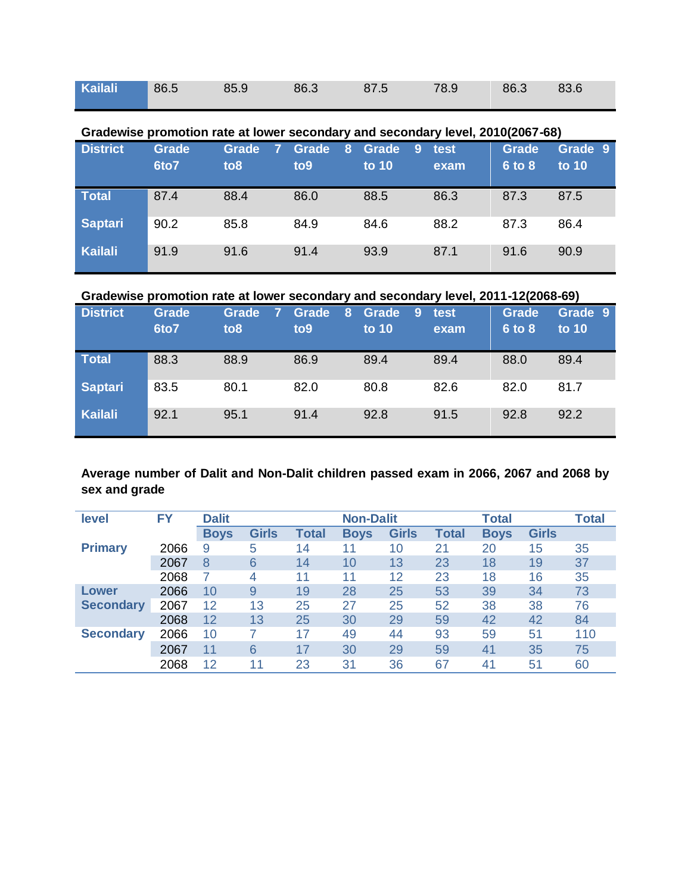| Kailali 86.5 85.9 86.3 87.5 78.9 86.3 83.6 |  |  |  |  |
|--------------------------------------------|--|--|--|--|
|                                            |  |  |  |  |

|                 | Gradewise promotion rate at lower secondary and secondary level, 2010(2067-68) |                 |                 |            |      |              |         |  |  |  |  |
|-----------------|--------------------------------------------------------------------------------|-----------------|-----------------|------------|------|--------------|---------|--|--|--|--|
| <b>District</b> | Grade                                                                          | Grade           | Grade<br>8      | Grade<br>9 | test | <b>Grade</b> | Grade 9 |  |  |  |  |
|                 | 6to7                                                                           | to <sub>8</sub> | to <sub>9</sub> | to $10$    | exam | 6 to 8       | to $10$ |  |  |  |  |
| <b>Total</b>    | 87.4                                                                           | 88.4            | 86.0            | 88.5       | 86.3 | 87.3         | 87.5    |  |  |  |  |
| <b>Saptari</b>  | 90.2                                                                           | 85.8            | 84.9            | 84.6       | 88.2 | 87.3         | 86.4    |  |  |  |  |
| Kailali         | 91.9                                                                           | 91.6            | 91.4            | 93.9       | 87.1 | 91.6         | 90.9    |  |  |  |  |

**Gradewise promotion rate at lower secondary and secondary level, 2010(2067-68)**

## **Gradewise promotion rate at lower secondary and secondary level, 2011-12(2068-69)**

| <b>District</b> | <b>Grade</b><br>6to7 | Grade<br>to <sub>8</sub> | Grade<br>8<br>to <sub>9</sub> | Grade<br>9<br>to 10 | test<br>exam | <b>Grade</b><br>6 to 8 | Grade 9<br>to 10 |
|-----------------|----------------------|--------------------------|-------------------------------|---------------------|--------------|------------------------|------------------|
| <b>Total</b>    | 88.3                 | 88.9                     | 86.9                          | 89.4                | 89.4         | 88.0                   | 89.4             |
| <b>Saptari</b>  | 83.5                 | 80.1                     | 82.0                          | 80.8                | 82.6         | 82.0                   | 81.7             |
| Kailali         | 92.1                 | 95.1                     | 91.4                          | 92.8                | 91.5         | 92.8                   | 92.2             |

## **Average number of Dalit and Non-Dalit children passed exam in 2066, 2067 and 2068 by sex and grade**

| level            | FY   | <b>Dalit</b> |                |              | <b>Non-Dalit</b> |              |              | <b>Total</b> |              | <b>Total</b> |
|------------------|------|--------------|----------------|--------------|------------------|--------------|--------------|--------------|--------------|--------------|
|                  |      | <b>Boys</b>  | <b>Girls</b>   | <b>Total</b> | <b>Boys</b>      | <b>Girls</b> | <b>Total</b> | <b>Boys</b>  | <b>Girls</b> |              |
| <b>Primary</b>   | 2066 | 9            | 5              | 14           | 11               | 10           | 21           | 20           | 15           | 35           |
|                  | 2067 | 8            | 6              | 14           | 10               | 13           | 23           | 18           | 19           | 37           |
|                  | 2068 |              | 4              | 11           | 11               | 12           | 23           | 18           | 16           | 35           |
| Lower            | 2066 | 10           | 9              | 19           | 28               | 25           | 53           | 39           | 34           | 73           |
| <b>Secondary</b> | 2067 | 12           | 13             | 25           | 27               | 25           | 52           | 38           | 38           | 76           |
|                  | 2068 | 12           | 13             | 25           | 30               | 29           | 59           | 42           | 42           | 84           |
| <b>Secondary</b> | 2066 | 10           | $\overline{ }$ | 17           | 49               | 44           | 93           | 59           | 51           | 110          |
|                  | 2067 | 11           | 6              | 17           | 30               | 29           | 59           | 41           | 35           | 75           |
|                  | 2068 | 12           | 11             | 23           | 31               | 36           | 67           | 41           | 51           | 60           |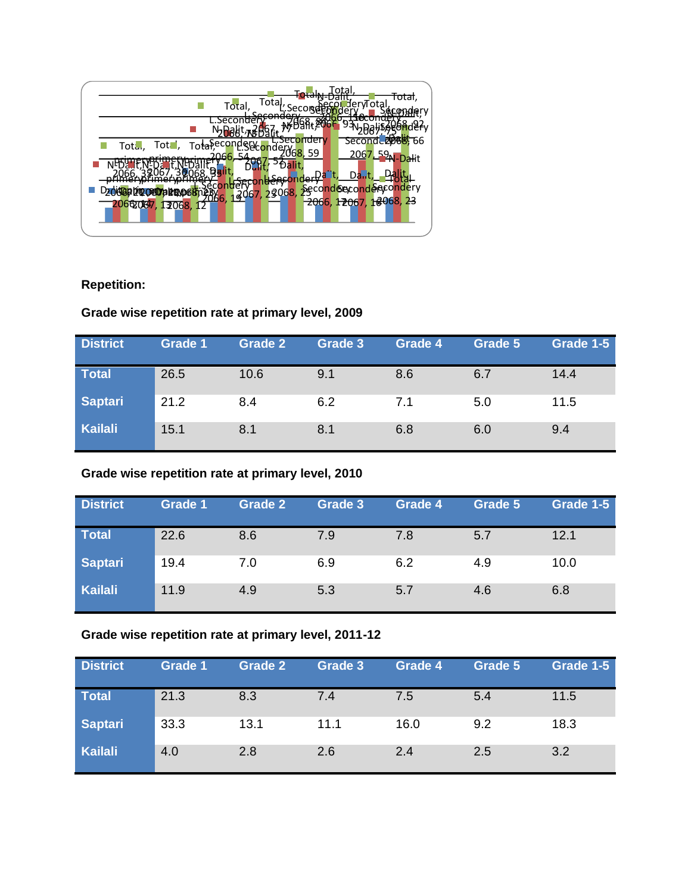| Totaļ,<br>Total,                                | ाठाता<br>flervTotal                 |
|-------------------------------------------------|-------------------------------------|
| cond                                            |                                     |
| Total, Total, Totaleconder Conder 1988, 59      | Seconde 2088, 66                    |
|                                                 | 2067. 59N-Dalit                     |
|                                                 | $D_{\text{dur}}$ t $_{\text{corr}}$ |
| 13067, 23068, <del>29</del> cond6econd6econdery |                                     |
| 067, 12068, 12<br>20662                         | $-2066, 12067, 16068, 23$           |
|                                                 |                                     |

## **Repetition:**

## **Grade wise repetition rate at primary level, 2009**

| <b>District</b> | <b>Grade 1</b> | <b>Grade 2</b> | Grade 3 | Grade 4 | Grade 5 | Grade 1-5 |
|-----------------|----------------|----------------|---------|---------|---------|-----------|
| <b>Total</b>    | 26.5           | 10.6           | 9.1     | 8.6     | 6.7     | 14.4      |
| Saptari         | 21.2           | 8.4            | 6.2     | 7.1     | 5.0     | 11.5      |
| Kailali         | 15.1           | 8.1            | 8.1     | 6.8     | 6.0     | 9.4       |

## **Grade wise repetition rate at primary level, 2010**

| <b>District</b> | Grade 1 | <b>Grade 2</b> | Grade 3 | Grade 4 | Grade 5 | Grade 1-5 |
|-----------------|---------|----------------|---------|---------|---------|-----------|
| Total           | 22.6    | 8.6            | 7.9     | 7.8     | 5.7     | 12.1      |
| Saptari         | 19.4    | 7.0            | 6.9     | 6.2     | 4.9     | 10.0      |
| Kailali         | 11.9    | 4.9            | 5.3     | 5.7     | 4.6     | 6.8       |

# **Grade wise repetition rate at primary level, 2011-12**

| <b>District</b> | Grade 1 | <b>Grade 2</b> | Grade 3 | Grade 4 | Grade 5 | Grade 1-5 |
|-----------------|---------|----------------|---------|---------|---------|-----------|
| Total           | 21.3    | 8.3            | 7.4     | 7.5     | 5.4     | 11.5      |
| <b>Saptari</b>  | 33.3    | 13.1           | 11.1    | 16.0    | 9.2     | 18.3      |
| Kailali         | 4.0     | 2.8            | 2.6     | 2.4     | 2.5     | 3.2       |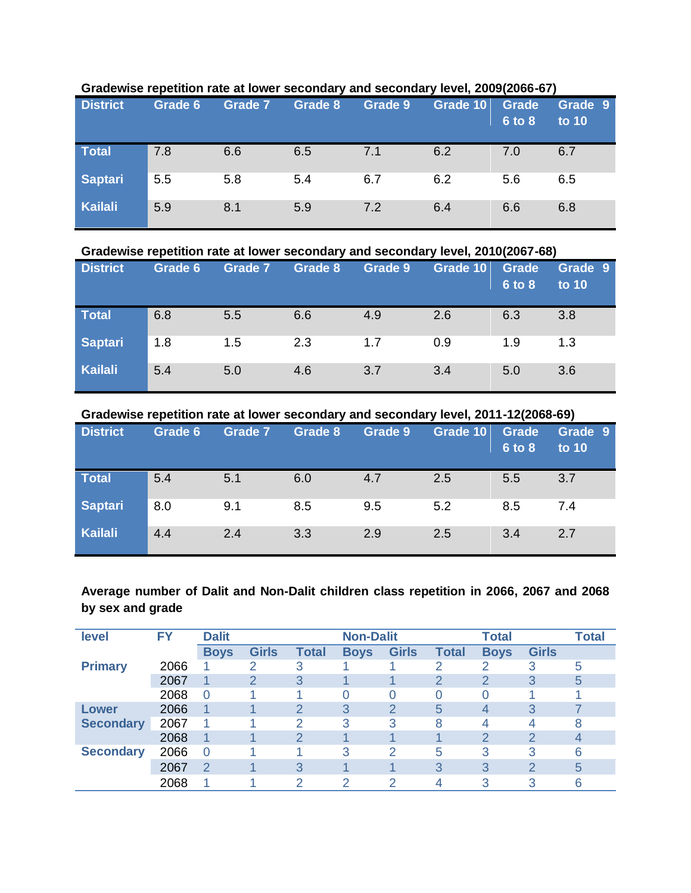| <b>District</b> | Grade 6 | <b>Grade 7</b> | Grade 8 | Grade 9 | Grade 10 | Grade<br>6 to 8 | Grade 9<br>to 10 |
|-----------------|---------|----------------|---------|---------|----------|-----------------|------------------|
| <b>Total</b>    | 7.8     | 6.6            | 6.5     | 7.1     | 6.2      | 7.0             | 6.7              |
| Saptari         | 5.5     | 5.8            | 5.4     | 6.7     | 6.2      | 5.6             | 6.5              |
| <b>Kailali</b>  | 5.9     | 8.1            | 5.9     | 7.2     | 6.4      | 6.6             | 6.8              |

### **Gradewise repetition rate at lower secondary and secondary level, 2009(2066-67)**

#### **Gradewise repetition rate at lower secondary and secondary level, 2010(2067-68)**

| <b>District</b> | Grade 6 | Grade 7 | Grade 8 | Grade 9 | Grade 10 | Grade<br>6 to 8 | Grade 9<br>to 10 |
|-----------------|---------|---------|---------|---------|----------|-----------------|------------------|
| <b>Total</b>    | 6.8     | 5.5     | 6.6     | 4.9     | 2.6      | 6.3             | 3.8              |
| <b>Saptari</b>  | 1.8     | 1.5     | 2.3     | 1.7     | 0.9      | 1.9             | 1.3              |
| Kailali         | 5.4     | 5.0     | 4.6     | 3.7     | 3.4      | 5.0             | 3.6              |

### **Gradewise repetition rate at lower secondary and secondary level, 2011-12(2068-69)**

| <b>District</b> | Grade 6 | Grade 7 | Grade 8 | Grade 9 | Grade 10 | Grade<br>6 to 8 | Grade 9<br>to 10 |
|-----------------|---------|---------|---------|---------|----------|-----------------|------------------|
| <b>Total</b>    | 5.4     | 5.1     | 6.0     | 4.7     | 2.5      | 5.5             | 3.7              |
| <b>Saptari</b>  | 8.0     | 9.1     | 8.5     | 9.5     | 5.2      | 8.5             | 7.4              |
| <b>Kailali</b>  | 4.4     | 2.4     | 3.3     | 2.9     | 2.5      | 3.4             | 2.7              |

## **Average number of Dalit and Non-Dalit children class repetition in 2066, 2067 and 2068 by sex and grade**

| level            | <b>FY</b> | <b>Dalit</b>   |              |              | <b>Non-Dalit</b> |                  |              | <b>Total</b> |              | <b>Total</b> |
|------------------|-----------|----------------|--------------|--------------|------------------|------------------|--------------|--------------|--------------|--------------|
|                  |           | <b>Boys</b>    | <b>Girls</b> | <b>Total</b> | <b>Boys</b>      | <b>Girls</b>     | <b>Total</b> | <b>Boys</b>  | <b>Girls</b> |              |
| <b>Primary</b>   | 2066      |                | 2            | 3            |                  |                  | 2            | 2            | 3            | 5            |
|                  | 2067      |                | 2            | 3            |                  |                  | 2            | 2            | 3            | 5            |
|                  | 2068      | $\Omega$       |              |              |                  | $\left( \right)$ | O            | Ω            |              |              |
| Lower            | 2066      | 1              |              | 2            | 3                | 2                | 5            | 4            | 3            |              |
| <b>Secondary</b> | 2067      |                |              | っ            | 3                | 3                | 8            | 4            |              | 8            |
|                  | 2068      |                |              |              |                  |                  |              | 2            |              |              |
| <b>Secondary</b> | 2066      | $\overline{0}$ |              |              | 3                | 2                | 5            | 3            | 3            | 6            |
|                  | 2067      | 2              |              | 3            |                  |                  | 3            | 3            | 2            | 5            |
|                  | 2068      |                |              | ◠            |                  | っ                | 4            | 3            |              | 6            |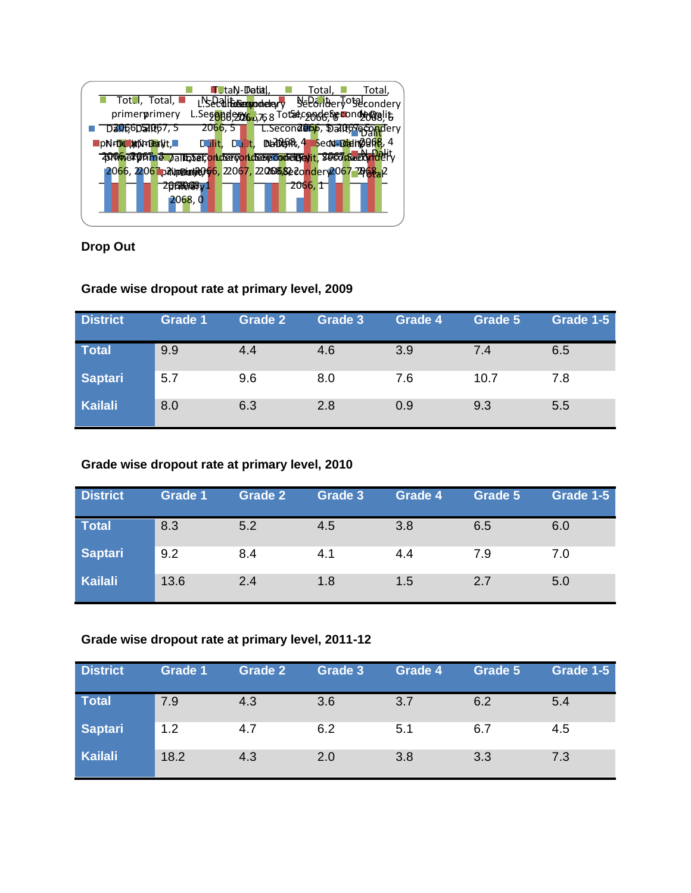|                                                                 | <b>T</b> ∪taN- <b>Datal. I</b> |         | Total,<br>Total,                                                 |
|-----------------------------------------------------------------|--------------------------------|---------|------------------------------------------------------------------|
| $\blacksquare$ Tot., Total, $\blacksquare$                      |                                |         | L'Secalifassaggiocheliery Secondery                              |
| primerprimery                                                   |                                |         | L.Segoadezzo, 768 Totseconde, Secondeggalit                      |
| DaugoDality7, 5                                                 | 2066, 5                        |         | <del>ี้ L.Secon<b>dBb</b>b, Dallb<sup>or</sup>ดวัฏท</del> ี่dery |
| pNrDe mini-Dealyt,                                              |                                |         | Dullit, Dullt, DatDatA, 4 Sect-Datin 2016, 4                     |
| 4000 erptine paltoset on der von de benommen in 1960 Geed Helly |                                |         |                                                                  |
| 2066, 22067 paymetaya966, 22067, 22066882 condery 2067 2868a2   |                                |         |                                                                  |
| 2000000000                                                      |                                | 2066, T |                                                                  |
| 2068, 0                                                         |                                |         |                                                                  |
|                                                                 |                                |         |                                                                  |

**Drop Out**

## **Grade wise dropout rate at primary level, 2009**

| <b>District</b> | <b>Grade 1</b> | <b>Grade 2</b> | Grade 3 | Grade 4 | Grade 5 | Grade 1-5 |
|-----------------|----------------|----------------|---------|---------|---------|-----------|
| Total           | 9.9            | 4.4            | 4.6     | 3.9     | 7.4     | 6.5       |
| Saptari         | 5.7            | 9.6            | 8.0     | 7.6     | 10.7    | 7.8       |
| Kailali         | 8.0            | 6.3            | 2.8     | 0.9     | 9.3     | 5.5       |

## **Grade wise dropout rate at primary level, 2010**

| <b>District</b> | <b>Grade 1</b> | <b>Grade 2</b> | Grade 3 | Grade 4 | Grade 5 | Grade 1-5 |
|-----------------|----------------|----------------|---------|---------|---------|-----------|
| Total           | 8.3            | 5.2            | 4.5     | 3.8     | 6.5     | 6.0       |
| Saptari         | 9.2            | 8.4            | 4.1     | 4.4     | 7.9     | 7.0       |
| Kailali         | 13.6           | 2.4            | 1.8     | 1.5     | 2.7     | 5.0       |

## **Grade wise dropout rate at primary level, 2011-12**

| <b>District</b> | Grade 1 | <b>Grade 2</b> | Grade 3 | Grade 4 | Grade 5 | Grade 1-5 |
|-----------------|---------|----------------|---------|---------|---------|-----------|
| Total           | 7.9     | 4.3            | 3.6     | 3.7     | 6.2     | 5.4       |
| <b>Saptari</b>  | 1.2     | 4.7            | 6.2     | 5.1     | 6.7     | 4.5       |
| Kailali         | 18.2    | 4.3            | 2.0     | 3.8     | 3.3     | 7.3       |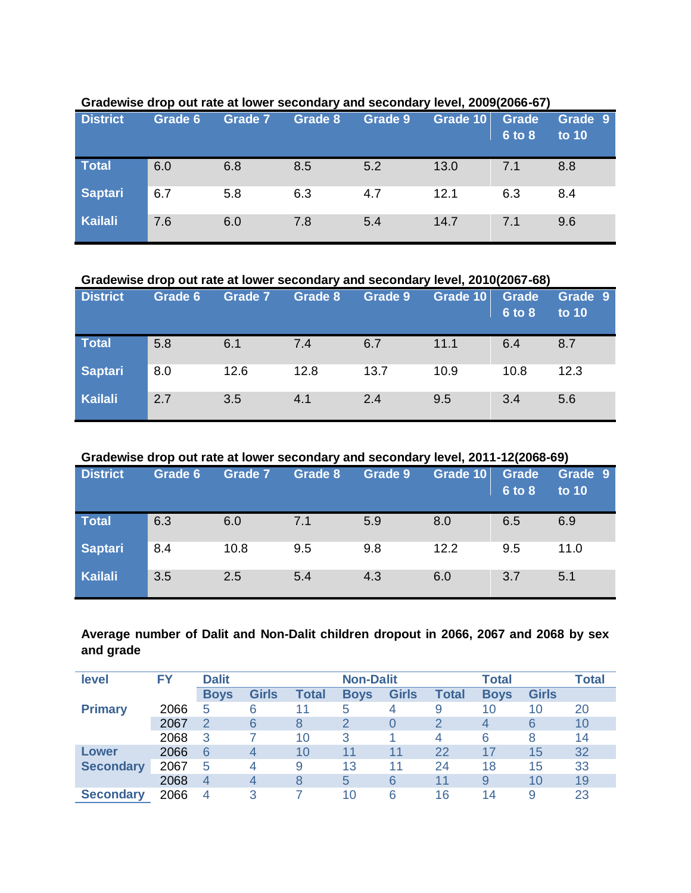| <b>District</b> | Grade 6 | Grade 7 | Grade 8 | Grade 9 | Grade 10 | Grade<br>6 to 8 | Grade 9<br>to 10 |
|-----------------|---------|---------|---------|---------|----------|-----------------|------------------|
| <b>Total</b>    | 6.0     | 6.8     | 8.5     | 5.2     | 13.0     | 7.1             | 8.8              |
| Saptari         | 6.7     | 5.8     | 6.3     | 4.7     | 12.1     | 6.3             | 8.4              |
| <b>Kailali</b>  | 7.6     | 6.0     | 7.8     | 5.4     | 14.7     | 7.1             | 9.6              |

### **Gradewise drop out rate at lower secondary and secondary level, 2009(2066-67)**

**Gradewise drop out rate at lower secondary and secondary level, 2010(2067-68)**

| <b>District</b> | Grade 6 | <b>Grade 7</b> | Grade 8 | Grade 9 | Grade 10 | Grade<br><b>6 to 8</b> | Grade 9<br>to 10 |
|-----------------|---------|----------------|---------|---------|----------|------------------------|------------------|
| <b>Total</b>    | 5.8     | 6.1            | 7.4     | 6.7     | 11.1     | 6.4                    | 8.7              |
| <b>Saptari</b>  | 8.0     | 12.6           | 12.8    | 13.7    | 10.9     | 10.8                   | 12.3             |
| <b>Kailali</b>  | 2.7     | 3.5            | 4.1     | 2.4     | 9.5      | 3.4                    | 5.6              |

## **Gradewise drop out rate at lower secondary and secondary level, 2011-12(2068-69)**

| <b>District</b> | Grade 6 | <b>Grade 7</b> | Grade 8 | Grade 9 | <b>Grade 10</b> | <b>Grade</b><br>6 to 8 | Grade 9<br>to 10 |
|-----------------|---------|----------------|---------|---------|-----------------|------------------------|------------------|
| <b>Total</b>    | 6.3     | 6.0            | 7.1     | 5.9     | 8.0             | 6.5                    | 6.9              |
| <b>Saptari</b>  | 8.4     | 10.8           | 9.5     | 9.8     | 12.2            | 9.5                    | 11.0             |
| Kailali         | 3.5     | 2.5            | 5.4     | 4.3     | 6.0             | 3.7                    | 5.1              |

## **Average number of Dalit and Non-Dalit children dropout in 2066, 2067 and 2068 by sex and grade**

| level            | FY   | <b>Dalit</b>   | <b>Non-Dalit</b> |              |             |              |              | <b>Total</b> |              | <b>Total</b> |
|------------------|------|----------------|------------------|--------------|-------------|--------------|--------------|--------------|--------------|--------------|
|                  |      | <b>Boys</b>    | <b>Girls</b>     | <b>Total</b> | <b>Boys</b> | <b>Girls</b> | <b>Total</b> | <b>Boys</b>  | <b>Girls</b> |              |
| <b>Primary</b>   | 2066 | 5              | 6                | 11           | 5           | 4            | 9            | 10           | 10           | 20           |
|                  | 2067 | 2              | 6                | 8            |             | 0            | 2            | 4            | 6            | 10           |
|                  | 2068 | 3              |                  | 10           | 3           |              | 4            | 6            | 8            | 14           |
| Lower            | 2066 | 6              | 4                | 10           | 11          | 11           | 22           | 17           | 15           | 32           |
| <b>Secondary</b> | 2067 | 5              | 4                | 9            | 13          | 11           | 24           | 18           | 15           | 33           |
|                  | 2068 | $\overline{4}$ | $\overline{4}$   | 8            | 5           | 6            | 11           | 9            | 10           | 19           |
| <b>Secondary</b> | 2066 | $\overline{4}$ | 3                |              | 10          | 6            | 16           | 14           | 9            | 23           |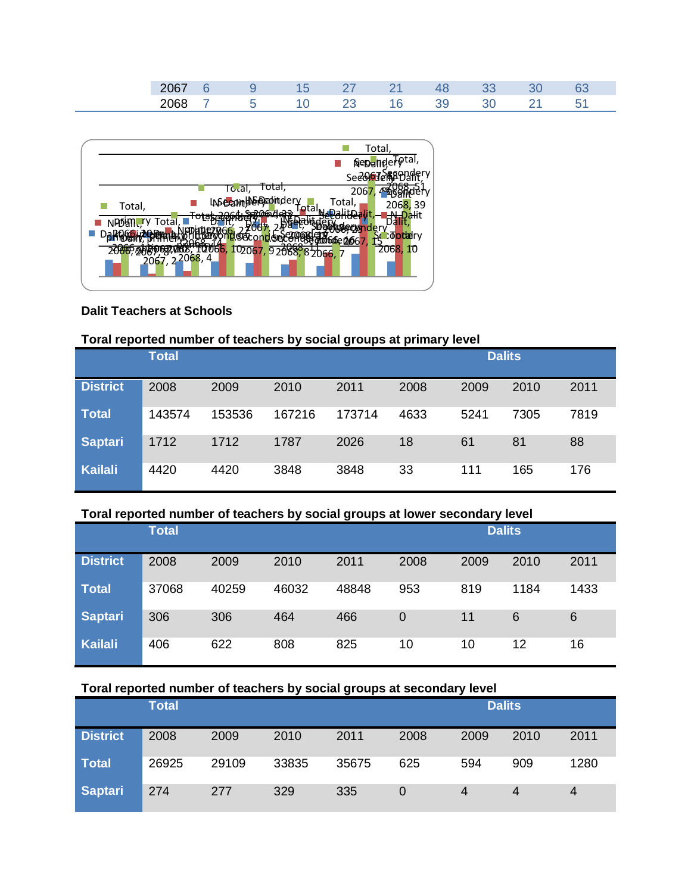|                     |  | __ | <b>Service Service</b> |  |  |
|---------------------|--|----|------------------------|--|--|
| $\mathbf{v}$<br>___ |  |    |                        |  |  |



### **Dalit Teachers at Schools**

## **Toral reported number of teachers by social groups at primary level**

|                 | <b>Total</b> |        |        | <b>Dalits</b> |      |      |      |      |
|-----------------|--------------|--------|--------|---------------|------|------|------|------|
| <b>District</b> | 2008         | 2009   | 2010   | 2011          | 2008 | 2009 | 2010 | 2011 |
| <b>Total</b>    | 143574       | 153536 | 167216 | 173714        | 4633 | 5241 | 7305 | 7819 |
| <b>Saptari</b>  | 1712         | 1712   | 1787   | 2026          | 18   | 61   | 81   | 88   |
| <b>Kailali</b>  | 4420         | 4420   | 3848   | 3848          | 33   | 111  | 165  | 176  |

### **Toral reported number of teachers by social groups at lower secondary level**

|                 | <b>Total</b> |       |       | <b>Dalits</b> |      |      |      |      |
|-----------------|--------------|-------|-------|---------------|------|------|------|------|
| <b>District</b> | 2008         | 2009  | 2010  | 2011          | 2008 | 2009 | 2010 | 2011 |
| <b>Total</b>    | 37068        | 40259 | 46032 | 48848         | 953  | 819  | 1184 | 1433 |
| <b>Saptari</b>  | 306          | 306   | 464   | 466           | 0    | 11   | 6    | 6    |
| <b>Kailali</b>  | 406          | 622   | 808   | 825           | 10   | 10   | 12   | 16   |

### **Toral reported number of teachers by social groups at secondary level**

|                 | <b>Total</b> |       |       |       | <b>Dalits</b> |      |      |      |
|-----------------|--------------|-------|-------|-------|---------------|------|------|------|
| <b>District</b> | 2008         | 2009  | 2010  | 2011  | 2008          | 2009 | 2010 | 2011 |
| Total           | 26925        | 29109 | 33835 | 35675 | 625           | 594  | 909  | 1280 |
| Saptari         | 274          | 277   | 329   | 335   | O             | 4    |      | 4    |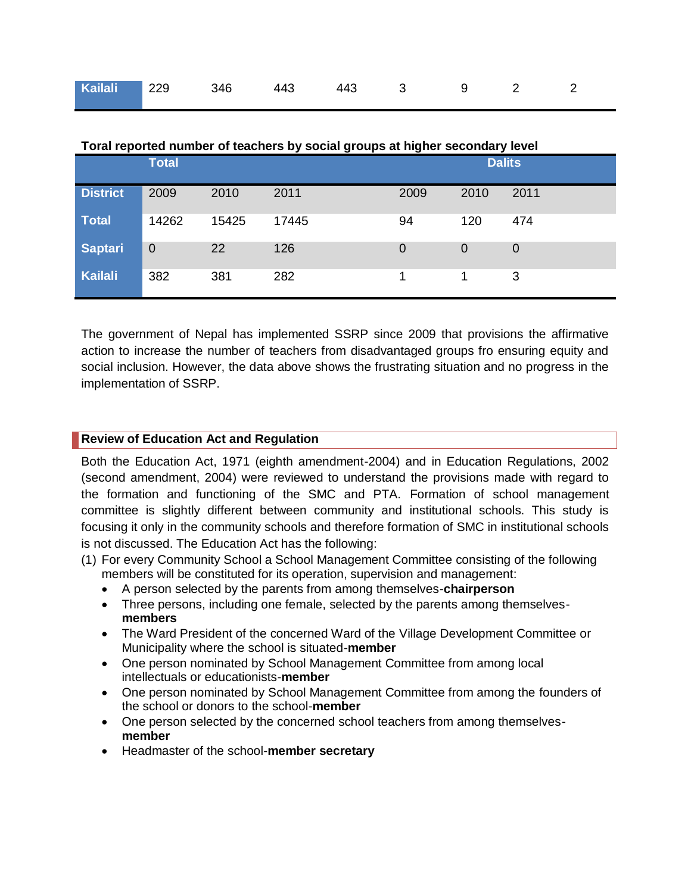| 19   Kailali   229   346   443   443   3   3   9   2   2 |  |  |  |  |
|----------------------------------------------------------|--|--|--|--|
|                                                          |  |  |  |  |

|                 | <b>Total</b>   |       |       | Toral reported number of teachers by social groups at higher secondary level<br><b>Dalits</b> |      |      |  |
|-----------------|----------------|-------|-------|-----------------------------------------------------------------------------------------------|------|------|--|
| <b>District</b> | 2009           | 2010  | 2011  | 2009                                                                                          | 2010 | 2011 |  |
| <b>Total</b>    | 14262          | 15425 | 17445 | 94                                                                                            | 120  | 474  |  |
| <b>Saptari</b>  | $\overline{0}$ | 22    | 126   | 0                                                                                             | 0    | 0    |  |
| <b>Kailali</b>  | 382            | 381   | 282   |                                                                                               |      | 3    |  |

**Toral reported number of teachers by social groups at higher secondary level**

The government of Nepal has implemented SSRP since 2009 that provisions the affirmative action to increase the number of teachers from disadvantaged groups fro ensuring equity and social inclusion. However, the data above shows the frustrating situation and no progress in the implementation of SSRP.

### **Review of Education Act and Regulation**

Both the Education Act, 1971 (eighth amendment-2004) and in Education Regulations, 2002 (second amendment, 2004) were reviewed to understand the provisions made with regard to the formation and functioning of the SMC and PTA. Formation of school management committee is slightly different between community and institutional schools. This study is focusing it only in the community schools and therefore formation of SMC in institutional schools is not discussed. The Education Act has the following:

- (1) For every Community School a School Management Committee consisting of the following members will be constituted for its operation, supervision and management:
	- A person selected by the parents from among themselves-**chairperson**
	- Three persons, including one female, selected by the parents among themselves**members**
	- The Ward President of the concerned Ward of the Village Development Committee or Municipality where the school is situated-**member**
	- One person nominated by School Management Committee from among local intellectuals or educationists-**member**
	- One person nominated by School Management Committee from among the founders of the school or donors to the school-**member**
	- One person selected by the concerned school teachers from among themselves**member**
	- Headmaster of the school-**member secretary**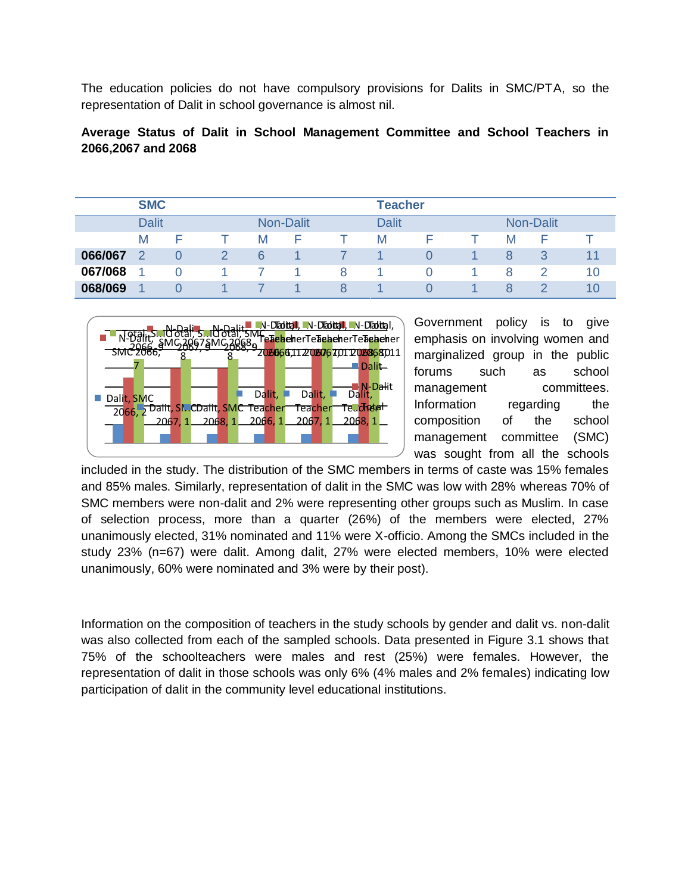The education policies do not have compulsory provisions for Dalits in SMC/PTA, so the representation of Dalit in school governance is almost nil.

## **Average Status of Dalit in School Management Committee and School Teachers in 2066,2067 and 2068**

|         | <b>SMC</b>   |          |                  |   | <b>Teacher</b> |  |                  |    |
|---------|--------------|----------|------------------|---|----------------|--|------------------|----|
|         | <b>Dalit</b> |          | <b>Non-Dalit</b> |   | <b>Dalit</b>   |  | <b>Non-Dalit</b> |    |
|         | M            | F        | M                |   | M              |  | M                |    |
| 066/067 |              |          | 6                |   |                |  |                  | 11 |
| 067/068 |              | $\Omega$ |                  | 8 |                |  | 8                | 10 |
| 068/069 | и            |          |                  | 8 |                |  | 8                | 10 |



Government policy is to give emphasis on involving women and marginalized group in the public forums such as school management committees. Information regarding the composition of the school management committee (SMC) was sought from all the schools

included in the study. The distribution of the SMC members in terms of caste was 15% females and 85% males. Similarly, representation of dalit in the SMC was low with 28% whereas 70% of SMC members were non-dalit and 2% were representing other groups such as Muslim. In case of selection process, more than a quarter (26%) of the members were elected, 27% unanimously elected, 31% nominated and 11% were X-officio. Among the SMCs included in the study 23% (n=67) were dalit. Among dalit, 27% were elected members, 10% were elected unanimously, 60% were nominated and 3% were by their post).

Information on the composition of teachers in the study schools by gender and dalit vs. non-dalit was also collected from each of the sampled schools. Data presented in Figure 3.1 shows that 75% of the schoolteachers were males and rest (25%) were females. However, the representation of dalit in those schools was only 6% (4% males and 2% females) indicating low participation of dalit in the community level educational institutions.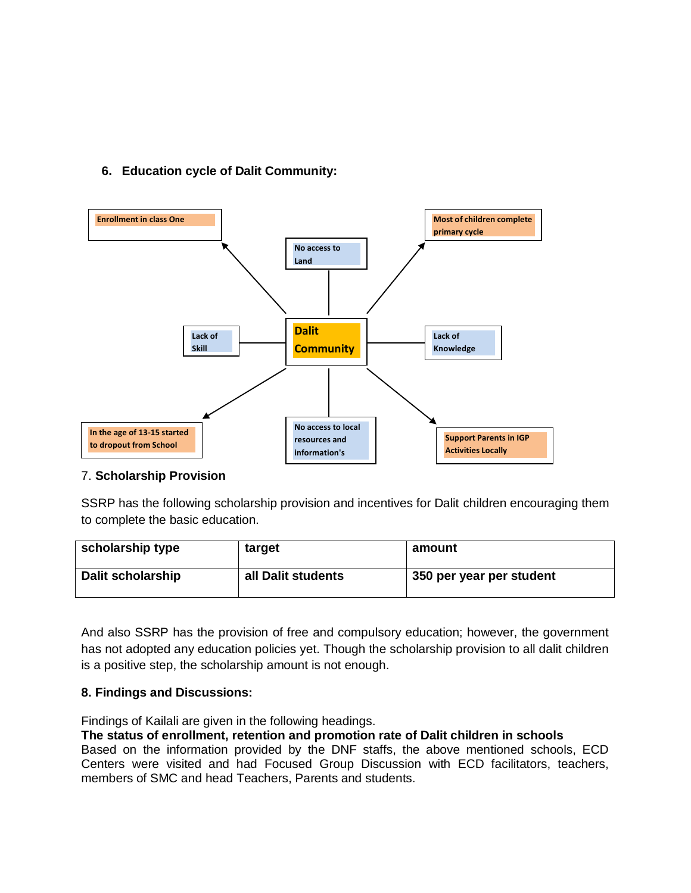## **6. Education cycle of Dalit Community:**



### 7. **Scholarship Provision**

SSRP has the following scholarship provision and incentives for Dalit children encouraging them to complete the basic education.

| scholarship type         | target             | amount                   |
|--------------------------|--------------------|--------------------------|
| <b>Dalit scholarship</b> | all Dalit students | 350 per year per student |

And also SSRP has the provision of free and compulsory education; however, the government has not adopted any education policies yet. Though the scholarship provision to all dalit children is a positive step, the scholarship amount is not enough.

### **8. Findings and Discussions:**

Findings of Kailali are given in the following headings.

## **The status of enrollment, retention and promotion rate of Dalit children in schools**

Based on the information provided by the DNF staffs, the above mentioned schools, ECD Centers were visited and had Focused Group Discussion with ECD facilitators, teachers, members of SMC and head Teachers, Parents and students.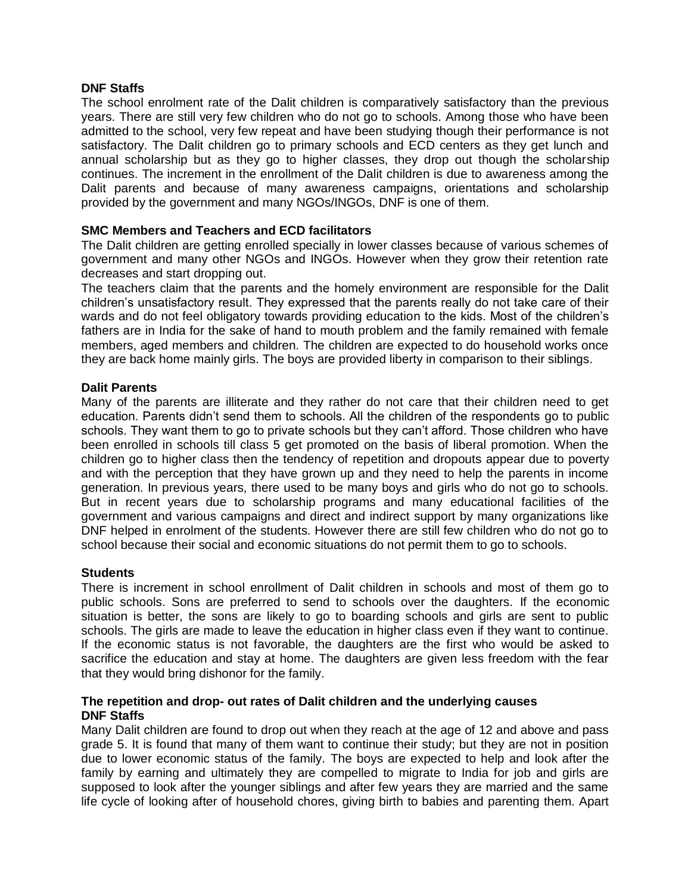### **DNF Staffs**

The school enrolment rate of the Dalit children is comparatively satisfactory than the previous years. There are still very few children who do not go to schools. Among those who have been admitted to the school, very few repeat and have been studying though their performance is not satisfactory. The Dalit children go to primary schools and ECD centers as they get lunch and annual scholarship but as they go to higher classes, they drop out though the scholarship continues. The increment in the enrollment of the Dalit children is due to awareness among the Dalit parents and because of many awareness campaigns, orientations and scholarship provided by the government and many NGOs/INGOs, DNF is one of them.

### **SMC Members and Teachers and ECD facilitators**

The Dalit children are getting enrolled specially in lower classes because of various schemes of government and many other NGOs and INGOs. However when they grow their retention rate decreases and start dropping out.

The teachers claim that the parents and the homely environment are responsible for the Dalit children's unsatisfactory result. They expressed that the parents really do not take care of their wards and do not feel obligatory towards providing education to the kids. Most of the children's fathers are in India for the sake of hand to mouth problem and the family remained with female members, aged members and children. The children are expected to do household works once they are back home mainly girls. The boys are provided liberty in comparison to their siblings.

### **Dalit Parents**

Many of the parents are illiterate and they rather do not care that their children need to get education. Parents didn't send them to schools. All the children of the respondents go to public schools. They want them to go to private schools but they can't afford. Those children who have been enrolled in schools till class 5 get promoted on the basis of liberal promotion. When the children go to higher class then the tendency of repetition and dropouts appear due to poverty and with the perception that they have grown up and they need to help the parents in income generation. In previous years, there used to be many boys and girls who do not go to schools. But in recent years due to scholarship programs and many educational facilities of the government and various campaigns and direct and indirect support by many organizations like DNF helped in enrolment of the students. However there are still few children who do not go to school because their social and economic situations do not permit them to go to schools.

### **Students**

There is increment in school enrollment of Dalit children in schools and most of them go to public schools. Sons are preferred to send to schools over the daughters. If the economic situation is better, the sons are likely to go to boarding schools and girls are sent to public schools. The girls are made to leave the education in higher class even if they want to continue. If the economic status is not favorable, the daughters are the first who would be asked to sacrifice the education and stay at home. The daughters are given less freedom with the fear that they would bring dishonor for the family.

### **The repetition and drop- out rates of Dalit children and the underlying causes DNF Staffs**

Many Dalit children are found to drop out when they reach at the age of 12 and above and pass grade 5. It is found that many of them want to continue their study; but they are not in position due to lower economic status of the family. The boys are expected to help and look after the family by earning and ultimately they are compelled to migrate to India for job and girls are supposed to look after the younger siblings and after few years they are married and the same life cycle of looking after of household chores, giving birth to babies and parenting them. Apart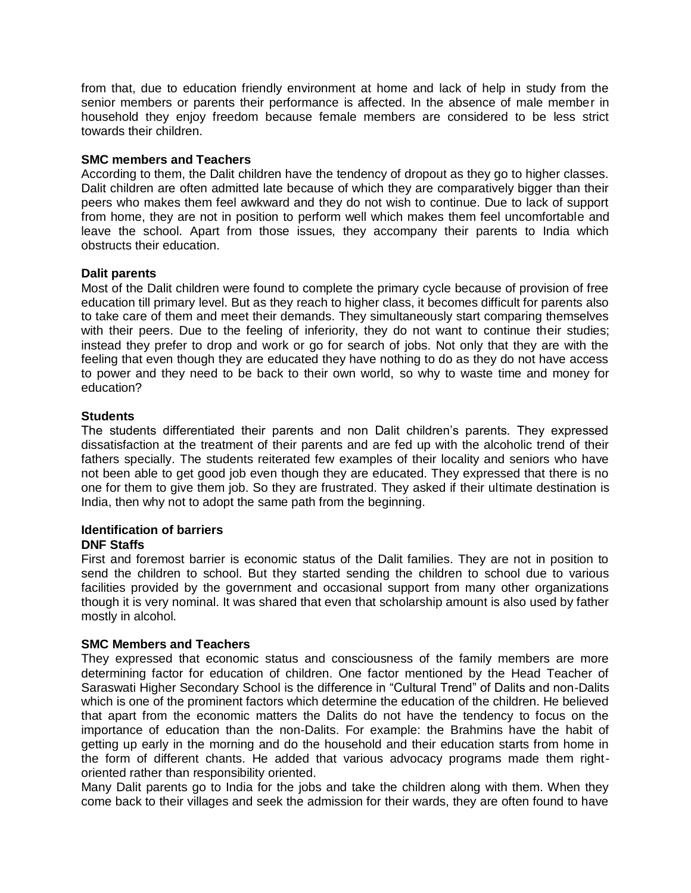from that, due to education friendly environment at home and lack of help in study from the senior members or parents their performance is affected. In the absence of male member in household they enjoy freedom because female members are considered to be less strict towards their children.

### **SMC members and Teachers**

According to them, the Dalit children have the tendency of dropout as they go to higher classes. Dalit children are often admitted late because of which they are comparatively bigger than their peers who makes them feel awkward and they do not wish to continue. Due to lack of support from home, they are not in position to perform well which makes them feel uncomfortable and leave the school. Apart from those issues, they accompany their parents to India which obstructs their education.

### **Dalit parents**

Most of the Dalit children were found to complete the primary cycle because of provision of free education till primary level. But as they reach to higher class, it becomes difficult for parents also to take care of them and meet their demands. They simultaneously start comparing themselves with their peers. Due to the feeling of inferiority, they do not want to continue their studies; instead they prefer to drop and work or go for search of jobs. Not only that they are with the feeling that even though they are educated they have nothing to do as they do not have access to power and they need to be back to their own world, so why to waste time and money for education?

### **Students**

The students differentiated their parents and non Dalit children's parents. They expressed dissatisfaction at the treatment of their parents and are fed up with the alcoholic trend of their fathers specially. The students reiterated few examples of their locality and seniors who have not been able to get good job even though they are educated. They expressed that there is no one for them to give them job. So they are frustrated. They asked if their ultimate destination is India, then why not to adopt the same path from the beginning.

## **Identification of barriers**

### **DNF Staffs**

First and foremost barrier is economic status of the Dalit families. They are not in position to send the children to school. But they started sending the children to school due to various facilities provided by the government and occasional support from many other organizations though it is very nominal. It was shared that even that scholarship amount is also used by father mostly in alcohol.

### **SMC Members and Teachers**

They expressed that economic status and consciousness of the family members are more determining factor for education of children. One factor mentioned by the Head Teacher of Saraswati Higher Secondary School is the difference in "Cultural Trend" of Dalits and non-Dalits which is one of the prominent factors which determine the education of the children. He believed that apart from the economic matters the Dalits do not have the tendency to focus on the importance of education than the non-Dalits. For example: the Brahmins have the habit of getting up early in the morning and do the household and their education starts from home in the form of different chants. He added that various advocacy programs made them rightoriented rather than responsibility oriented.

Many Dalit parents go to India for the jobs and take the children along with them. When they come back to their villages and seek the admission for their wards, they are often found to have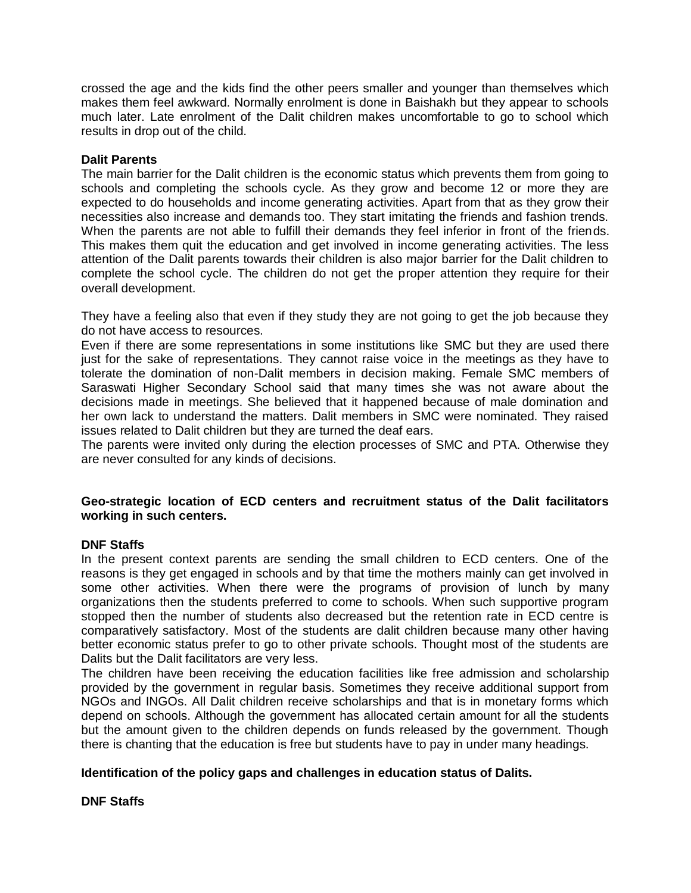crossed the age and the kids find the other peers smaller and younger than themselves which makes them feel awkward. Normally enrolment is done in Baishakh but they appear to schools much later. Late enrolment of the Dalit children makes uncomfortable to go to school which results in drop out of the child.

### **Dalit Parents**

The main barrier for the Dalit children is the economic status which prevents them from going to schools and completing the schools cycle. As they grow and become 12 or more they are expected to do households and income generating activities. Apart from that as they grow their necessities also increase and demands too. They start imitating the friends and fashion trends. When the parents are not able to fulfill their demands they feel inferior in front of the friends. This makes them quit the education and get involved in income generating activities. The less attention of the Dalit parents towards their children is also major barrier for the Dalit children to complete the school cycle. The children do not get the proper attention they require for their overall development.

They have a feeling also that even if they study they are not going to get the job because they do not have access to resources.

Even if there are some representations in some institutions like SMC but they are used there just for the sake of representations. They cannot raise voice in the meetings as they have to tolerate the domination of non-Dalit members in decision making. Female SMC members of Saraswati Higher Secondary School said that many times she was not aware about the decisions made in meetings. She believed that it happened because of male domination and her own lack to understand the matters. Dalit members in SMC were nominated. They raised issues related to Dalit children but they are turned the deaf ears.

The parents were invited only during the election processes of SMC and PTA. Otherwise they are never consulted for any kinds of decisions.

### **Geo-strategic location of ECD centers and recruitment status of the Dalit facilitators working in such centers.**

### **DNF Staffs**

In the present context parents are sending the small children to ECD centers. One of the reasons is they get engaged in schools and by that time the mothers mainly can get involved in some other activities. When there were the programs of provision of lunch by many organizations then the students preferred to come to schools. When such supportive program stopped then the number of students also decreased but the retention rate in ECD centre is comparatively satisfactory. Most of the students are dalit children because many other having better economic status prefer to go to other private schools. Thought most of the students are Dalits but the Dalit facilitators are very less.

The children have been receiving the education facilities like free admission and scholarship provided by the government in regular basis. Sometimes they receive additional support from NGOs and INGOs. All Dalit children receive scholarships and that is in monetary forms which depend on schools. Although the government has allocated certain amount for all the students but the amount given to the children depends on funds released by the government. Though there is chanting that the education is free but students have to pay in under many headings.

### **Identification of the policy gaps and challenges in education status of Dalits.**

### **DNF Staffs**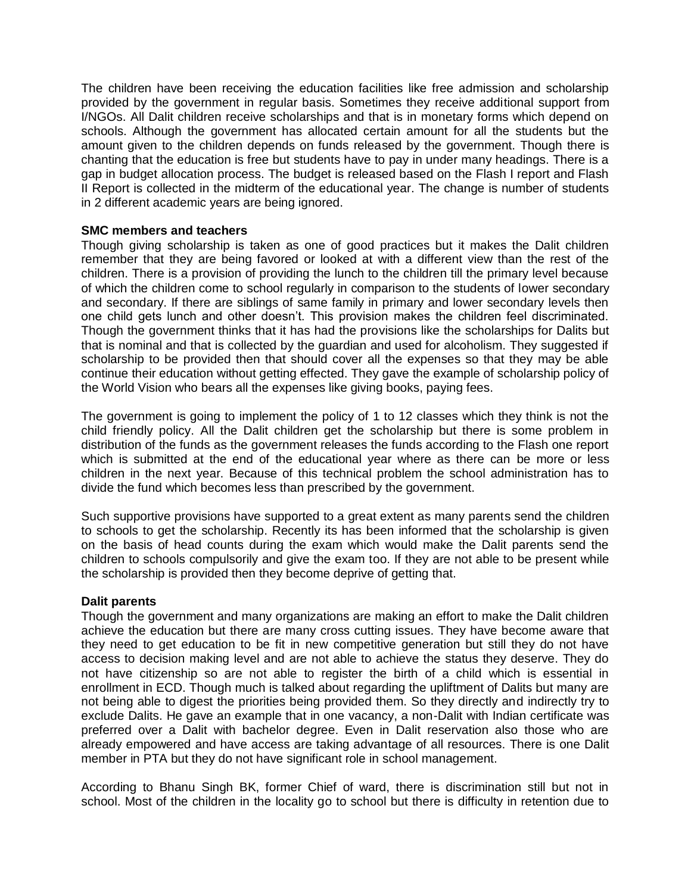The children have been receiving the education facilities like free admission and scholarship provided by the government in regular basis. Sometimes they receive additional support from I/NGOs. All Dalit children receive scholarships and that is in monetary forms which depend on schools. Although the government has allocated certain amount for all the students but the amount given to the children depends on funds released by the government. Though there is chanting that the education is free but students have to pay in under many headings. There is a gap in budget allocation process. The budget is released based on the Flash I report and Flash II Report is collected in the midterm of the educational year. The change is number of students in 2 different academic years are being ignored.

### **SMC members and teachers**

Though giving scholarship is taken as one of good practices but it makes the Dalit children remember that they are being favored or looked at with a different view than the rest of the children. There is a provision of providing the lunch to the children till the primary level because of which the children come to school regularly in comparison to the students of lower secondary and secondary. If there are siblings of same family in primary and lower secondary levels then one child gets lunch and other doesn't. This provision makes the children feel discriminated. Though the government thinks that it has had the provisions like the scholarships for Dalits but that is nominal and that is collected by the guardian and used for alcoholism. They suggested if scholarship to be provided then that should cover all the expenses so that they may be able continue their education without getting effected. They gave the example of scholarship policy of the World Vision who bears all the expenses like giving books, paying fees.

The government is going to implement the policy of 1 to 12 classes which they think is not the child friendly policy. All the Dalit children get the scholarship but there is some problem in distribution of the funds as the government releases the funds according to the Flash one report which is submitted at the end of the educational year where as there can be more or less children in the next year. Because of this technical problem the school administration has to divide the fund which becomes less than prescribed by the government.

Such supportive provisions have supported to a great extent as many parents send the children to schools to get the scholarship. Recently its has been informed that the scholarship is given on the basis of head counts during the exam which would make the Dalit parents send the children to schools compulsorily and give the exam too. If they are not able to be present while the scholarship is provided then they become deprive of getting that.

### **Dalit parents**

Though the government and many organizations are making an effort to make the Dalit children achieve the education but there are many cross cutting issues. They have become aware that they need to get education to be fit in new competitive generation but still they do not have access to decision making level and are not able to achieve the status they deserve. They do not have citizenship so are not able to register the birth of a child which is essential in enrollment in ECD. Though much is talked about regarding the upliftment of Dalits but many are not being able to digest the priorities being provided them. So they directly and indirectly try to exclude Dalits. He gave an example that in one vacancy, a non-Dalit with Indian certificate was preferred over a Dalit with bachelor degree. Even in Dalit reservation also those who are already empowered and have access are taking advantage of all resources. There is one Dalit member in PTA but they do not have significant role in school management.

According to Bhanu Singh BK, former Chief of ward, there is discrimination still but not in school. Most of the children in the locality go to school but there is difficulty in retention due to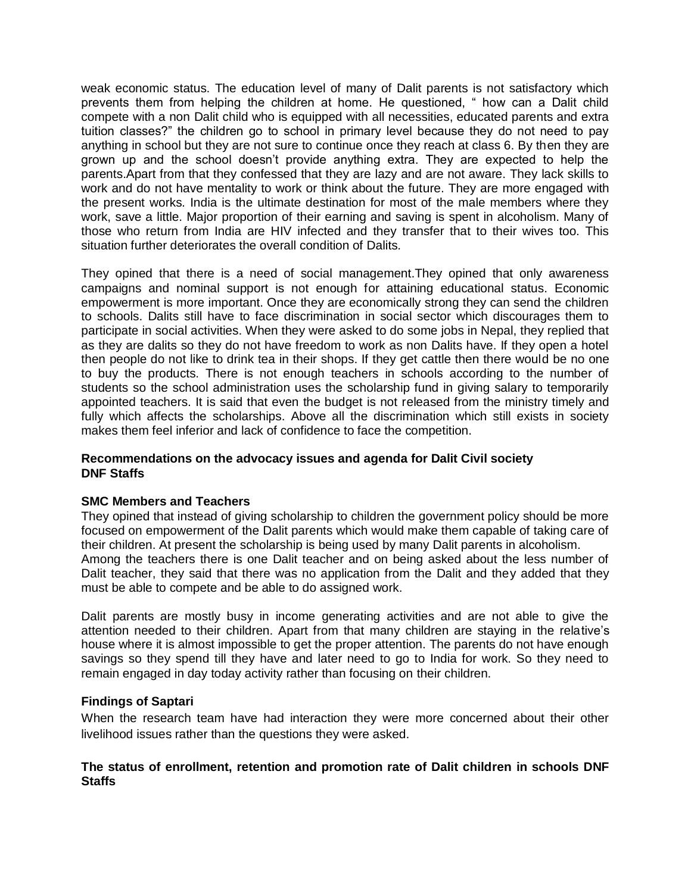weak economic status. The education level of many of Dalit parents is not satisfactory which prevents them from helping the children at home. He questioned, " how can a Dalit child compete with a non Dalit child who is equipped with all necessities, educated parents and extra tuition classes?" the children go to school in primary level because they do not need to pay anything in school but they are not sure to continue once they reach at class 6. By then they are grown up and the school doesn't provide anything extra. They are expected to help the parents.Apart from that they confessed that they are lazy and are not aware. They lack skills to work and do not have mentality to work or think about the future. They are more engaged with the present works. India is the ultimate destination for most of the male members where they work, save a little. Major proportion of their earning and saving is spent in alcoholism. Many of those who return from India are HIV infected and they transfer that to their wives too. This situation further deteriorates the overall condition of Dalits.

They opined that there is a need of social management.They opined that only awareness campaigns and nominal support is not enough for attaining educational status. Economic empowerment is more important. Once they are economically strong they can send the children to schools. Dalits still have to face discrimination in social sector which discourages them to participate in social activities. When they were asked to do some jobs in Nepal, they replied that as they are dalits so they do not have freedom to work as non Dalits have. If they open a hotel then people do not like to drink tea in their shops. If they get cattle then there would be no one to buy the products. There is not enough teachers in schools according to the number of students so the school administration uses the scholarship fund in giving salary to temporarily appointed teachers. It is said that even the budget is not released from the ministry timely and fully which affects the scholarships. Above all the discrimination which still exists in society makes them feel inferior and lack of confidence to face the competition.

### **Recommendations on the advocacy issues and agenda for Dalit Civil society DNF Staffs**

### **SMC Members and Teachers**

They opined that instead of giving scholarship to children the government policy should be more focused on empowerment of the Dalit parents which would make them capable of taking care of their children. At present the scholarship is being used by many Dalit parents in alcoholism. Among the teachers there is one Dalit teacher and on being asked about the less number of Dalit teacher, they said that there was no application from the Dalit and they added that they must be able to compete and be able to do assigned work.

Dalit parents are mostly busy in income generating activities and are not able to give the attention needed to their children. Apart from that many children are staying in the relative's house where it is almost impossible to get the proper attention. The parents do not have enough savings so they spend till they have and later need to go to India for work. So they need to remain engaged in day today activity rather than focusing on their children.

### **Findings of Saptari**

When the research team have had interaction they were more concerned about their other livelihood issues rather than the questions they were asked.

### **The status of enrollment, retention and promotion rate of Dalit children in schools DNF Staffs**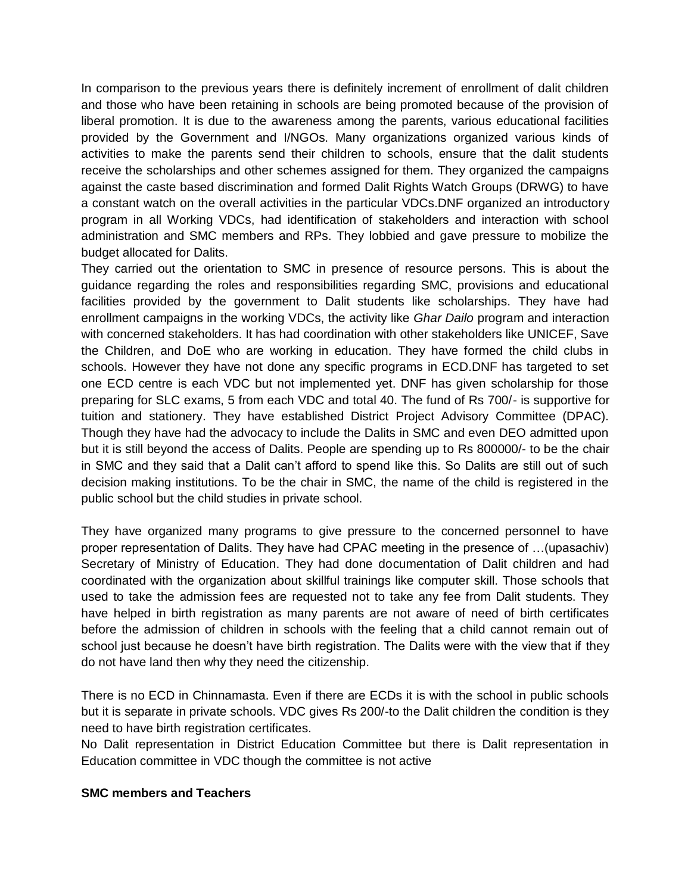In comparison to the previous years there is definitely increment of enrollment of dalit children and those who have been retaining in schools are being promoted because of the provision of liberal promotion. It is due to the awareness among the parents, various educational facilities provided by the Government and I/NGOs. Many organizations organized various kinds of activities to make the parents send their children to schools, ensure that the dalit students receive the scholarships and other schemes assigned for them. They organized the campaigns against the caste based discrimination and formed Dalit Rights Watch Groups (DRWG) to have a constant watch on the overall activities in the particular VDCs.DNF organized an introductory program in all Working VDCs, had identification of stakeholders and interaction with school administration and SMC members and RPs. They lobbied and gave pressure to mobilize the budget allocated for Dalits.

They carried out the orientation to SMC in presence of resource persons. This is about the guidance regarding the roles and responsibilities regarding SMC, provisions and educational facilities provided by the government to Dalit students like scholarships. They have had enrollment campaigns in the working VDCs, the activity like *Ghar Dailo* program and interaction with concerned stakeholders. It has had coordination with other stakeholders like UNICEF, Save the Children, and DoE who are working in education. They have formed the child clubs in schools. However they have not done any specific programs in ECD.DNF has targeted to set one ECD centre is each VDC but not implemented yet. DNF has given scholarship for those preparing for SLC exams, 5 from each VDC and total 40. The fund of Rs 700/- is supportive for tuition and stationery. They have established District Project Advisory Committee (DPAC). Though they have had the advocacy to include the Dalits in SMC and even DEO admitted upon but it is still beyond the access of Dalits. People are spending up to Rs 800000/- to be the chair in SMC and they said that a Dalit can't afford to spend like this. So Dalits are still out of such decision making institutions. To be the chair in SMC, the name of the child is registered in the public school but the child studies in private school.

They have organized many programs to give pressure to the concerned personnel to have proper representation of Dalits. They have had CPAC meeting in the presence of …(upasachiv) Secretary of Ministry of Education. They had done documentation of Dalit children and had coordinated with the organization about skillful trainings like computer skill. Those schools that used to take the admission fees are requested not to take any fee from Dalit students. They have helped in birth registration as many parents are not aware of need of birth certificates before the admission of children in schools with the feeling that a child cannot remain out of school just because he doesn't have birth registration. The Dalits were with the view that if they do not have land then why they need the citizenship.

There is no ECD in Chinnamasta. Even if there are ECDs it is with the school in public schools but it is separate in private schools. VDC gives Rs 200/-to the Dalit children the condition is they need to have birth registration certificates.

No Dalit representation in District Education Committee but there is Dalit representation in Education committee in VDC though the committee is not active

### **SMC members and Teachers**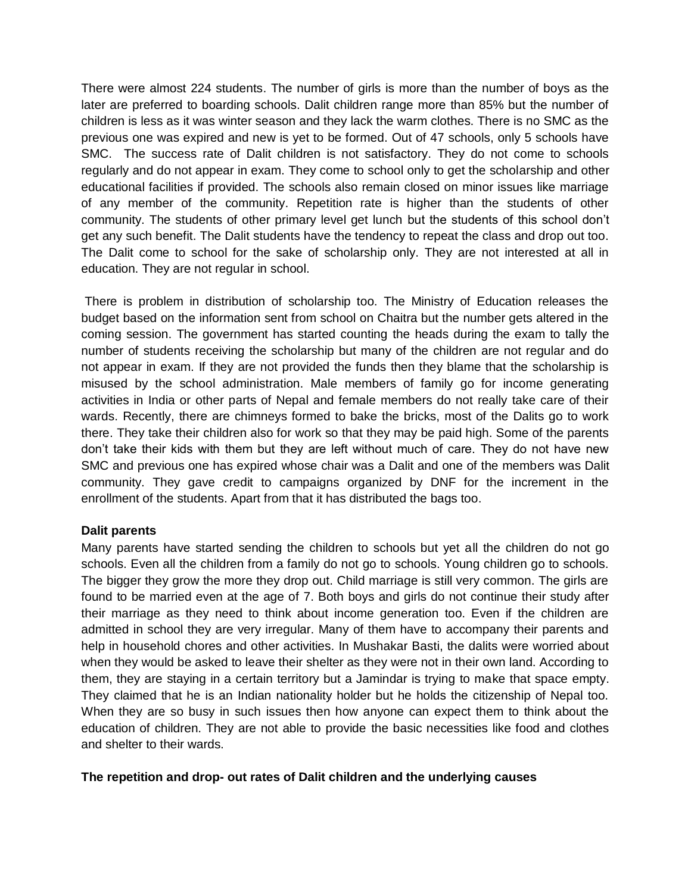There were almost 224 students. The number of girls is more than the number of boys as the later are preferred to boarding schools. Dalit children range more than 85% but the number of children is less as it was winter season and they lack the warm clothes. There is no SMC as the previous one was expired and new is yet to be formed. Out of 47 schools, only 5 schools have SMC. The success rate of Dalit children is not satisfactory. They do not come to schools regularly and do not appear in exam. They come to school only to get the scholarship and other educational facilities if provided. The schools also remain closed on minor issues like marriage of any member of the community. Repetition rate is higher than the students of other community. The students of other primary level get lunch but the students of this school don't get any such benefit. The Dalit students have the tendency to repeat the class and drop out too. The Dalit come to school for the sake of scholarship only. They are not interested at all in education. They are not regular in school.

There is problem in distribution of scholarship too. The Ministry of Education releases the budget based on the information sent from school on Chaitra but the number gets altered in the coming session. The government has started counting the heads during the exam to tally the number of students receiving the scholarship but many of the children are not regular and do not appear in exam. If they are not provided the funds then they blame that the scholarship is misused by the school administration. Male members of family go for income generating activities in India or other parts of Nepal and female members do not really take care of their wards. Recently, there are chimneys formed to bake the bricks, most of the Dalits go to work there. They take their children also for work so that they may be paid high. Some of the parents don't take their kids with them but they are left without much of care. They do not have new SMC and previous one has expired whose chair was a Dalit and one of the members was Dalit community. They gave credit to campaigns organized by DNF for the increment in the enrollment of the students. Apart from that it has distributed the bags too.

### **Dalit parents**

Many parents have started sending the children to schools but yet all the children do not go schools. Even all the children from a family do not go to schools. Young children go to schools. The bigger they grow the more they drop out. Child marriage is still very common. The girls are found to be married even at the age of 7. Both boys and girls do not continue their study after their marriage as they need to think about income generation too. Even if the children are admitted in school they are very irregular. Many of them have to accompany their parents and help in household chores and other activities. In Mushakar Basti, the dalits were worried about when they would be asked to leave their shelter as they were not in their own land. According to them, they are staying in a certain territory but a Jamindar is trying to make that space empty. They claimed that he is an Indian nationality holder but he holds the citizenship of Nepal too. When they are so busy in such issues then how anyone can expect them to think about the education of children. They are not able to provide the basic necessities like food and clothes and shelter to their wards.

### **The repetition and drop- out rates of Dalit children and the underlying causes**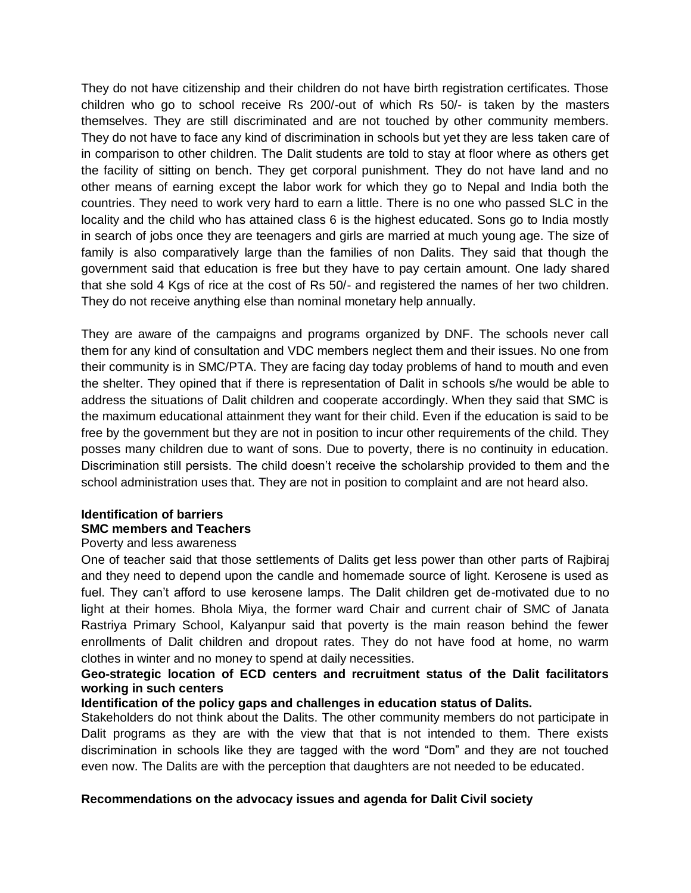They do not have citizenship and their children do not have birth registration certificates. Those children who go to school receive Rs 200/-out of which Rs 50/- is taken by the masters themselves. They are still discriminated and are not touched by other community members. They do not have to face any kind of discrimination in schools but yet they are less taken care of in comparison to other children. The Dalit students are told to stay at floor where as others get the facility of sitting on bench. They get corporal punishment. They do not have land and no other means of earning except the labor work for which they go to Nepal and India both the countries. They need to work very hard to earn a little. There is no one who passed SLC in the locality and the child who has attained class 6 is the highest educated. Sons go to India mostly in search of jobs once they are teenagers and girls are married at much young age. The size of family is also comparatively large than the families of non Dalits. They said that though the government said that education is free but they have to pay certain amount. One lady shared that she sold 4 Kgs of rice at the cost of Rs 50/- and registered the names of her two children. They do not receive anything else than nominal monetary help annually.

They are aware of the campaigns and programs organized by DNF. The schools never call them for any kind of consultation and VDC members neglect them and their issues. No one from their community is in SMC/PTA. They are facing day today problems of hand to mouth and even the shelter. They opined that if there is representation of Dalit in schools s/he would be able to address the situations of Dalit children and cooperate accordingly. When they said that SMC is the maximum educational attainment they want for their child. Even if the education is said to be free by the government but they are not in position to incur other requirements of the child. They posses many children due to want of sons. Due to poverty, there is no continuity in education. Discrimination still persists. The child doesn't receive the scholarship provided to them and the school administration uses that. They are not in position to complaint and are not heard also.

## **Identification of barriers SMC members and Teachers**

### Poverty and less awareness

One of teacher said that those settlements of Dalits get less power than other parts of Rajbiraj and they need to depend upon the candle and homemade source of light. Kerosene is used as fuel. They can't afford to use kerosene lamps. The Dalit children get de-motivated due to no light at their homes. Bhola Miya, the former ward Chair and current chair of SMC of Janata Rastriya Primary School, Kalyanpur said that poverty is the main reason behind the fewer enrollments of Dalit children and dropout rates. They do not have food at home, no warm clothes in winter and no money to spend at daily necessities.

### **Geo-strategic location of ECD centers and recruitment status of the Dalit facilitators working in such centers**

### **Identification of the policy gaps and challenges in education status of Dalits.**

Stakeholders do not think about the Dalits. The other community members do not participate in Dalit programs as they are with the view that that is not intended to them. There exists discrimination in schools like they are tagged with the word "Dom" and they are not touched even now. The Dalits are with the perception that daughters are not needed to be educated.

### **Recommendations on the advocacy issues and agenda for Dalit Civil society**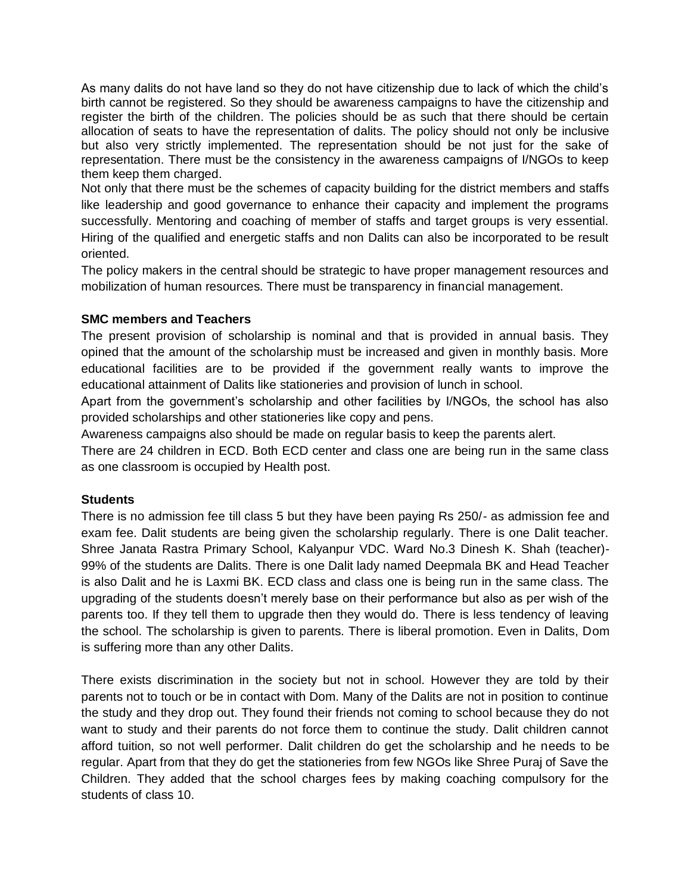As many dalits do not have land so they do not have citizenship due to lack of which the child's birth cannot be registered. So they should be awareness campaigns to have the citizenship and register the birth of the children. The policies should be as such that there should be certain allocation of seats to have the representation of dalits. The policy should not only be inclusive but also very strictly implemented. The representation should be not just for the sake of representation. There must be the consistency in the awareness campaigns of I/NGOs to keep them keep them charged.

Not only that there must be the schemes of capacity building for the district members and staffs like leadership and good governance to enhance their capacity and implement the programs successfully. Mentoring and coaching of member of staffs and target groups is very essential. Hiring of the qualified and energetic staffs and non Dalits can also be incorporated to be result oriented.

The policy makers in the central should be strategic to have proper management resources and mobilization of human resources. There must be transparency in financial management.

### **SMC members and Teachers**

The present provision of scholarship is nominal and that is provided in annual basis. They opined that the amount of the scholarship must be increased and given in monthly basis. More educational facilities are to be provided if the government really wants to improve the educational attainment of Dalits like stationeries and provision of lunch in school.

Apart from the government's scholarship and other facilities by I/NGOs, the school has also provided scholarships and other stationeries like copy and pens.

Awareness campaigns also should be made on regular basis to keep the parents alert.

There are 24 children in ECD. Both ECD center and class one are being run in the same class as one classroom is occupied by Health post.

### **Students**

There is no admission fee till class 5 but they have been paying Rs 250/- as admission fee and exam fee. Dalit students are being given the scholarship regularly. There is one Dalit teacher. Shree Janata Rastra Primary School, Kalyanpur VDC. Ward No.3 Dinesh K. Shah (teacher)- 99% of the students are Dalits. There is one Dalit lady named Deepmala BK and Head Teacher is also Dalit and he is Laxmi BK. ECD class and class one is being run in the same class. The upgrading of the students doesn't merely base on their performance but also as per wish of the parents too. If they tell them to upgrade then they would do. There is less tendency of leaving the school. The scholarship is given to parents. There is liberal promotion. Even in Dalits, Dom is suffering more than any other Dalits.

There exists discrimination in the society but not in school. However they are told by their parents not to touch or be in contact with Dom. Many of the Dalits are not in position to continue the study and they drop out. They found their friends not coming to school because they do not want to study and their parents do not force them to continue the study. Dalit children cannot afford tuition, so not well performer. Dalit children do get the scholarship and he needs to be regular. Apart from that they do get the stationeries from few NGOs like Shree Puraj of Save the Children. They added that the school charges fees by making coaching compulsory for the students of class 10.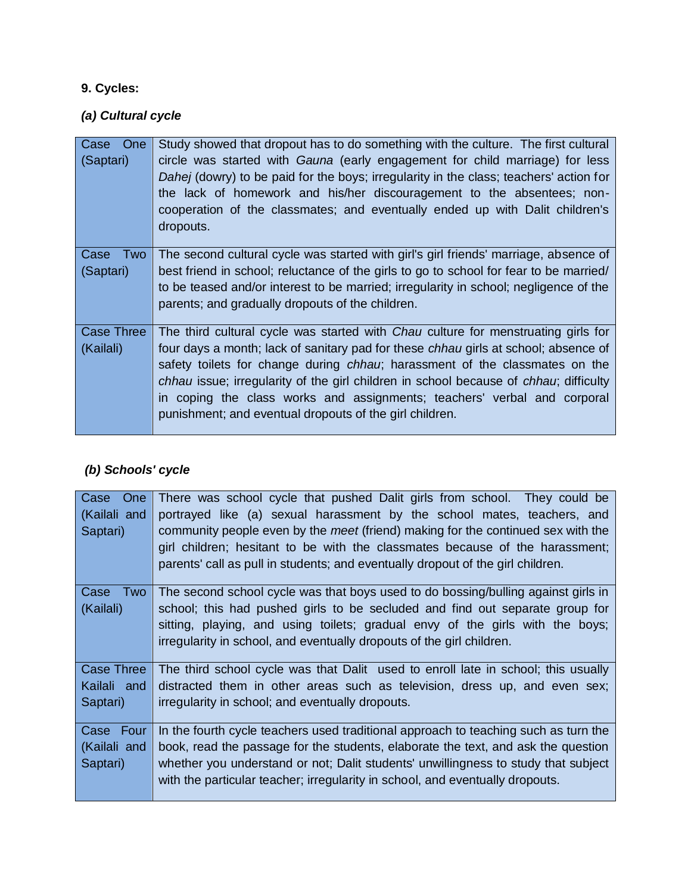## **9. Cycles:**

# *(a) Cultural cycle*

| One<br>Case<br>(Saptari)       | Study showed that dropout has to do something with the culture. The first cultural<br>circle was started with Gauna (early engagement for child marriage) for less<br>Dahej (dowry) to be paid for the boys; irregularity in the class; teachers' action for<br>the lack of homework and his/her discouragement to the absentees; non-<br>cooperation of the classmates; and eventually ended up with Dalit children's<br>dropouts.                                                            |
|--------------------------------|------------------------------------------------------------------------------------------------------------------------------------------------------------------------------------------------------------------------------------------------------------------------------------------------------------------------------------------------------------------------------------------------------------------------------------------------------------------------------------------------|
| Case<br>Two<br>(Saptari)       | The second cultural cycle was started with girl's girl friends' marriage, absence of<br>best friend in school; reluctance of the girls to go to school for fear to be married/<br>to be teased and/or interest to be married; irregularity in school; negligence of the<br>parents; and gradually dropouts of the children.                                                                                                                                                                    |
| <b>Case Three</b><br>(Kailali) | The third cultural cycle was started with <i>Chau</i> culture for menstruating girls for<br>four days a month; lack of sanitary pad for these chhau girls at school; absence of<br>safety toilets for change during chhau; harassment of the classmates on the<br>chhau issue; irregularity of the girl children in school because of chhau; difficulty<br>in coping the class works and assignments; teachers' verbal and corporal<br>punishment; and eventual dropouts of the girl children. |

## *(b) Schools' cycle*

| One<br>Case<br>(Kailali and<br>Saptari) | There was school cycle that pushed Dalit girls from school. They could be<br>portrayed like (a) sexual harassment by the school mates, teachers, and<br>community people even by the <i>meet</i> (friend) making for the continued sex with the<br>girl children; hesitant to be with the classmates because of the harassment;<br>parents' call as pull in students; and eventually dropout of the girl children. |
|-----------------------------------------|--------------------------------------------------------------------------------------------------------------------------------------------------------------------------------------------------------------------------------------------------------------------------------------------------------------------------------------------------------------------------------------------------------------------|
| Two<br>Case                             | The second school cycle was that boys used to do bossing/bulling against girls in                                                                                                                                                                                                                                                                                                                                  |
| (Kailali)                               | school; this had pushed girls to be secluded and find out separate group for                                                                                                                                                                                                                                                                                                                                       |
|                                         | sitting, playing, and using toilets; gradual envy of the girls with the boys;<br>irregularity in school, and eventually dropouts of the girl children.                                                                                                                                                                                                                                                             |
|                                         |                                                                                                                                                                                                                                                                                                                                                                                                                    |
| <b>Case Three</b>                       | The third school cycle was that Dalit used to enroll late in school; this usually                                                                                                                                                                                                                                                                                                                                  |
| Kailali and                             | distracted them in other areas such as television, dress up, and even sex;                                                                                                                                                                                                                                                                                                                                         |
| Saptari)                                | irregularity in school; and eventually dropouts.                                                                                                                                                                                                                                                                                                                                                                   |
| Case Four                               | In the fourth cycle teachers used traditional approach to teaching such as turn the                                                                                                                                                                                                                                                                                                                                |
| (Kailali and                            | book, read the passage for the students, elaborate the text, and ask the question                                                                                                                                                                                                                                                                                                                                  |
| Saptari)                                | whether you understand or not; Dalit students' unwillingness to study that subject                                                                                                                                                                                                                                                                                                                                 |
|                                         | with the particular teacher; irregularity in school, and eventually dropouts.                                                                                                                                                                                                                                                                                                                                      |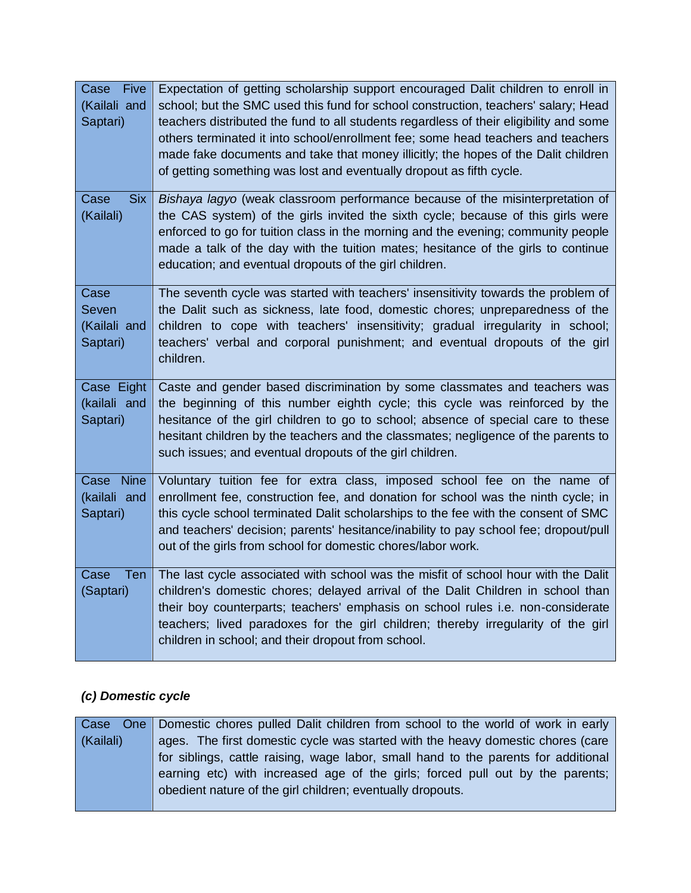| Five<br>Case<br>(Kailali and<br>Saptari)  | Expectation of getting scholarship support encouraged Dalit children to enroll in<br>school; but the SMC used this fund for school construction, teachers' salary; Head<br>teachers distributed the fund to all students regardless of their eligibility and some<br>others terminated it into school/enrollment fee; some head teachers and teachers<br>made fake documents and take that money illicitly; the hopes of the Dalit children<br>of getting something was lost and eventually dropout as fifth cycle. |
|-------------------------------------------|---------------------------------------------------------------------------------------------------------------------------------------------------------------------------------------------------------------------------------------------------------------------------------------------------------------------------------------------------------------------------------------------------------------------------------------------------------------------------------------------------------------------|
| <b>Six</b><br>Case<br>(Kailali)           | Bishaya lagyo (weak classroom performance because of the misinterpretation of<br>the CAS system) of the girls invited the sixth cycle; because of this girls were<br>enforced to go for tuition class in the morning and the evening; community people<br>made a talk of the day with the tuition mates; hesitance of the girls to continue<br>education; and eventual dropouts of the girl children.                                                                                                               |
| Case<br>Seven<br>(Kailali and<br>Saptari) | The seventh cycle was started with teachers' insensitivity towards the problem of<br>the Dalit such as sickness, late food, domestic chores; unpreparedness of the<br>children to cope with teachers' insensitivity; gradual irregularity in school;<br>teachers' verbal and corporal punishment; and eventual dropouts of the girl<br>children.                                                                                                                                                                    |
| Case Eight<br>(kailali and<br>Saptari)    | Caste and gender based discrimination by some classmates and teachers was<br>the beginning of this number eighth cycle; this cycle was reinforced by the<br>hesitance of the girl children to go to school; absence of special care to these<br>hesitant children by the teachers and the classmates; negligence of the parents to<br>such issues; and eventual dropouts of the girl children.                                                                                                                      |
| Case Nine<br>(kailali and<br>Saptari)     | Voluntary tuition fee for extra class, imposed school fee on the name of<br>enrollment fee, construction fee, and donation for school was the ninth cycle; in<br>this cycle school terminated Dalit scholarships to the fee with the consent of SMC<br>and teachers' decision; parents' hesitance/inability to pay school fee; dropout/pull<br>out of the girls from school for domestic chores/labor work.                                                                                                         |
| Case<br>Ten<br>(Saptari)                  | The last cycle associated with school was the misfit of school hour with the Dalit<br>children's domestic chores; delayed arrival of the Dalit Children in school than<br>their boy counterparts; teachers' emphasis on school rules i.e. non-considerate<br>teachers; lived paradoxes for the girl children; thereby irregularity of the girl<br>children in school; and their dropout from school.                                                                                                                |

# *(c) Domestic cycle*

| Case      | One   Domestic chores pulled Dalit children from school to the world of work in early |
|-----------|---------------------------------------------------------------------------------------|
| (Kailali) | ages. The first domestic cycle was started with the heavy domestic chores (care       |
|           | for siblings, cattle raising, wage labor, small hand to the parents for additional    |
|           | earning etc) with increased age of the girls; forced pull out by the parents;         |
|           | obedient nature of the girl children; eventually dropouts.                            |
|           |                                                                                       |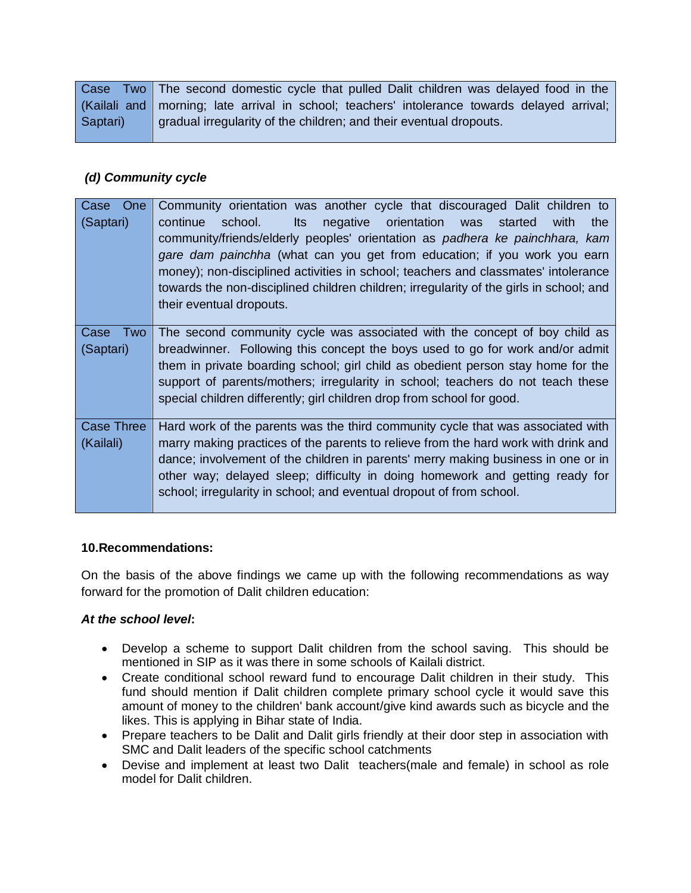Case Two (Kailali and Saptari) The second domestic cycle that pulled Dalit children was delayed food in the morning; late arrival in school; teachers' intolerance towards delayed arrival; gradual irregularity of the children; and their eventual dropouts.

## *(d) Community cycle*

| One<br>Case<br>(Saptari)       | Community orientation was another cycle that discouraged Dalit children to<br>negative orientation was<br>continue<br>school.<br><b>Its</b><br>started<br>with<br>the<br>community/friends/elderly peoples' orientation as padhera ke painchhara, kam<br>gare dam painchha (what can you get from education; if you work you earn<br>money); non-disciplined activities in school; teachers and classmates' intolerance<br>towards the non-disciplined children children; irregularity of the girls in school; and<br>their eventual dropouts. |
|--------------------------------|------------------------------------------------------------------------------------------------------------------------------------------------------------------------------------------------------------------------------------------------------------------------------------------------------------------------------------------------------------------------------------------------------------------------------------------------------------------------------------------------------------------------------------------------|
| Two<br>Case<br>(Saptari)       | The second community cycle was associated with the concept of boy child as<br>breadwinner. Following this concept the boys used to go for work and/or admit<br>them in private boarding school; girl child as obedient person stay home for the<br>support of parents/mothers; irregularity in school; teachers do not teach these<br>special children differently; girl children drop from school for good.                                                                                                                                   |
| <b>Case Three</b><br>(Kailali) | Hard work of the parents was the third community cycle that was associated with<br>marry making practices of the parents to relieve from the hard work with drink and<br>dance; involvement of the children in parents' merry making business in one or in<br>other way; delayed sleep; difficulty in doing homework and getting ready for<br>school; irregularity in school; and eventual dropout of from school.                                                                                                                             |

### **10.Recommendations:**

On the basis of the above findings we came up with the following recommendations as way forward for the promotion of Dalit children education:

## *At the school level***:**

- Develop a scheme to support Dalit children from the school saving. This should be mentioned in SIP as it was there in some schools of Kailali district.
- Create conditional school reward fund to encourage Dalit children in their study. This fund should mention if Dalit children complete primary school cycle it would save this amount of money to the children' bank account/give kind awards such as bicycle and the likes. This is applying in Bihar state of India.
- Prepare teachers to be Dalit and Dalit girls friendly at their door step in association with SMC and Dalit leaders of the specific school catchments
- Devise and implement at least two Dalit teachers(male and female) in school as role model for Dalit children.